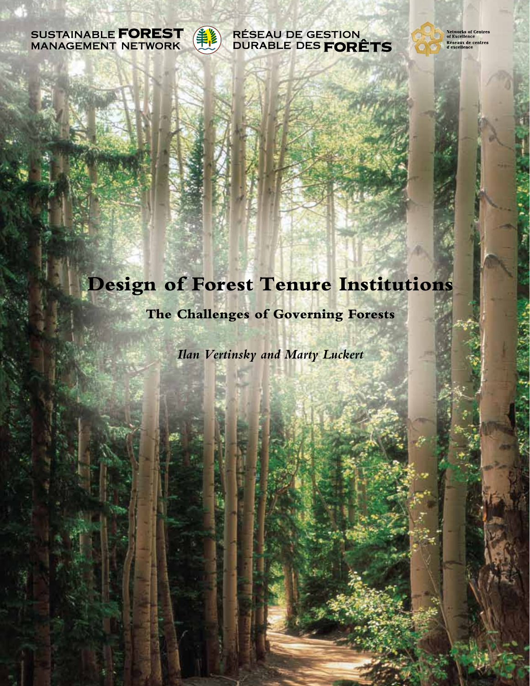



#### **RÉSEAU DE GESTION** DURABLE DES FORÊTS

**Networks of Centres<br>of Excellence** Réseaux de centres<br>d'excellence

# **Design of Forest Tenure Institutions**

### **The Challenges of Governing Forests**

*Ilan Vertinsky and Marty Luckert*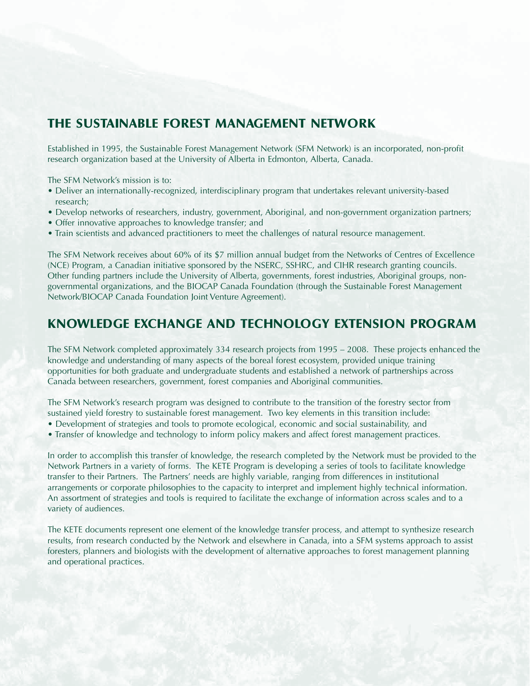#### **THE SUSTAINABLE FOREST MANAGEMENT NETWORK**

Established in 1995, the Sustainable Forest Management Network (SFM Network) is an incorporated, non-profit research organization based at the University of Alberta in Edmonton, Alberta, Canada.

The SFM Network's mission is to:

- Deliver an internationally-recognized, interdisciplinary program that undertakes relevant university-based research;
- Develop networks of researchers, industry, government, Aboriginal, and non-government organization partners;
- Offer innovative approaches to knowledge transfer; and
- Train scientists and advanced practitioners to meet the challenges of natural resource management.

The SFM Network receives about 60% of its \$7 million annual budget from the Networks of Centres of Excellence (NCE) Program, a Canadian initiative sponsored by the NSERC, SSHRC, and CIHR research granting councils. Other funding partners include the University of Alberta, governments, forest industries, Aboriginal groups, nongovernmental organizations, and the BIOCAP Canada Foundation (through the Sustainable Forest Management Network/BIOCAP Canada Foundation Joint Venture Agreement).

#### **KNOWLEDGE EXCHANGE AND TECHNOLOGY EXTENSION PROGRAM**

The SFM Network completed approximately 334 research projects from 1995 – 2008. These projects enhanced the knowledge and understanding of many aspects of the boreal forest ecosystem, provided unique training opportunities for both graduate and undergraduate students and established a network of partnerships across Canada between researchers, government, forest companies and Aboriginal communities.

The SFM Network's research program was designed to contribute to the transition of the forestry sector from sustained yield forestry to sustainable forest management. Two key elements in this transition include:

- Development of strategies and tools to promote ecological, economic and social sustainability, and
- Transfer of knowledge and technology to inform policy makers and affect forest management practices.

In order to accomplish this transfer of knowledge, the research completed by the Network must be provided to the Network Partners in a variety of forms. The KETE Program is developing a series of tools to facilitate knowledge transfer to their Partners. The Partners' needs are highly variable, ranging from differences in institutional arrangements or corporate philosophies to the capacity to interpret and implement highly technical information. An assortment of strategies and tools is required to facilitate the exchange of information across scales and to a variety of audiences.

The KETE documents represent one element of the knowledge transfer process, and attempt to synthesize research results, from research conducted by the Network and elsewhere in Canada, into a SFM systems approach to assist foresters, planners and biologists with the development of alternative approaches to forest management planning and operational practices.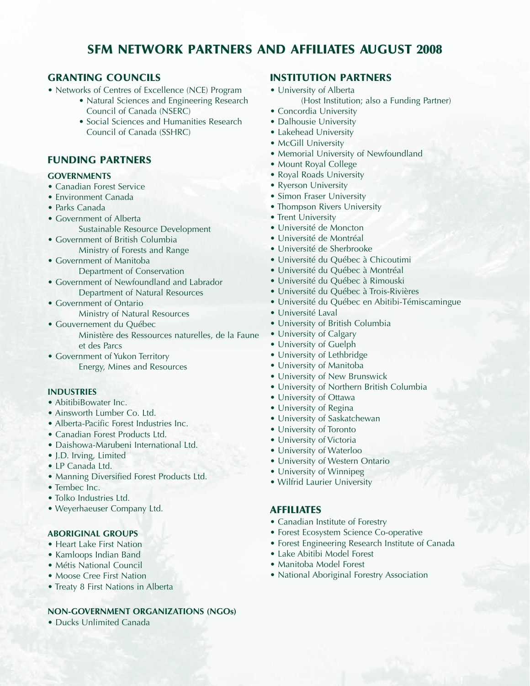### **SFM NETWORK PARTNERS AND AFFILIATES AUGUST 2008**

#### **GRANTING COUNCILS**

- Networks of Centres of Excellence (NCE) Program
	- Natural Sciences and Engineering Research Council of Canada (NSERC)
	- Social Sciences and Humanities Research Council of Canada (SSHRC)

#### **FUNDING PARTNERS**

#### **GOVERNMENTS**

- Canadian Forest Service
- Environment Canada
- Parks Canada
- Government of Alberta Sustainable Resource Development
- Government of British Columbia Ministry of Forests and Range
- Government of Manitoba Department of Conservation
- Government of Newfoundland and Labrador Department of Natural Resources
- Government of Ontario
	- Ministry of Natural Resources
- Gouvernement du Québec

Ministère des Ressources naturelles, de la Faune et des Parcs

• Government of Yukon Territory Energy, Mines and Resources

#### **INDUSTRIES**

- AbitibiBowater Inc.
- Ainsworth Lumber Co. Ltd.
- Alberta-Pacific Forest Industries Inc.
- Canadian Forest Products Ltd.
- Daishowa-Marubeni International Ltd.
- J.D. Irving, Limited
- LP Canada Ltd.
- Manning Diversified Forest Products Ltd.
- Tembec Inc.
- Tolko Industries Ltd.
- Weyerhaeuser Company Ltd.

#### **ABORIGINAL GROUPS**

- Heart Lake First Nation
- Kamloops Indian Band
- Métis National Council
- Moose Cree First Nation
- Treaty 8 First Nations in Alberta

#### **NON-GOVERNMENT ORGANIZATIONS (NGOs)**

• Ducks Unlimited Canada

#### **INSTITUTION PARTNERS**

- University of Alberta (Host Institution; also a Funding Partner)
- Concordia University
- Dalhousie University
- Lakehead University
- McGill University
- Memorial University of Newfoundland
- Mount Royal College
- Royal Roads University
- Ryerson University
- Simon Fraser University
- Thompson Rivers University
- Trent University
- Université de Moncton
- Université de Montréal
- Université de Sherbrooke
- Université du Québec à Chicoutimi
- Université du Québec à Montréal
- Université du Québec à Rimouski
- Université du Québec à Trois-Rivières
- Université du Québec en Abitibi-Témiscamingue
- Université Laval
- University of British Columbia
- University of Calgary
- University of Guelph
- University of Lethbridge
- 
- 
- University of Northern British Columbia
- University of Ottawa
- University of Regina
- University of Saskatchewan
- University of Toronto
- University of Victoria
- University of Waterloo
- University of Western Ontario
- University of Winnipeg
- 

#### **AFFILIATES**

- Canadian Institute of Forestry
- Forest Ecosystem Science Co-operative
- Forest Engineering Research Institute of Canada
- Lake Abitibi Model Forest
- Manitoba Model Forest
- National Aboriginal Forestry Association
- - - Wilfrid Laurier University

- 
- - University of Manitoba

#### • University of New Brunswick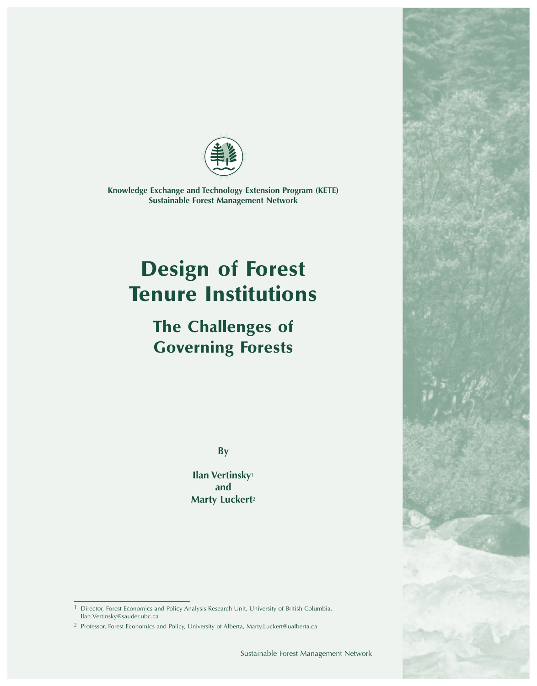

*Knowledge Exchange and Technology Extension Program (KETE) Sustainable Forest Management Network*

# **Design of Forest Tenure Institutions**

# **The Challenges of Governing Forests**

*By*

*Ilan Vertinsky<sup>1</sup> and Marty Luckert<sup>2</sup>*

*<sup>1</sup> Director, Forest Economics and Policy Analysis Research Unit, University of British Columbia, Ilan.Vertinsky@sauder.ubc.ca*

*<sup>2</sup> Professor, Forest Economics and Policy, University of Alberta, Marty.Luckert@ualberta.ca*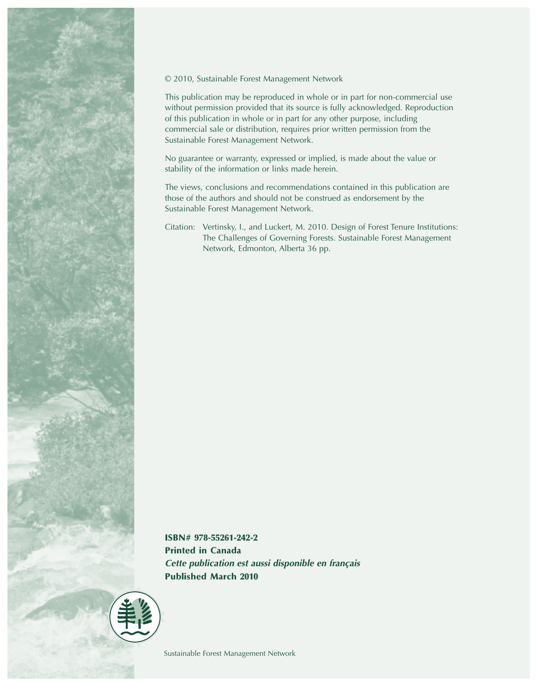

#### *© 2010, Sustainable Forest Management Network*

*This publication may be reproduced in whole or in part for non-commercial use without permission provided that its source is fully acknowledged. Reproduction of this publication in whole or in part for any other purpose, including commercial sale or distribution, requires prior written permission from the Sustainable Forest Management Network.*

*No guarantee or warranty, expressed or implied, is made about the value or stability of the information or links made herein.*

*The views, conclusions and recommendations contained in this publication are those of the authors and should not be construed as endorsement by the Sustainable Forest Management Network.*

*Citation: Vertinsky, I., and Luckert, M. 2010. Design of Forest Tenure Institutions: The Challenges of Governing Forests. Sustainable Forest Management Network, Edmonton, Alberta 36 pp.*

**ISBN# 978-55261-242-2 Printed in Canada** *Cette publication est aussi disponible en français* **Published March 2010**

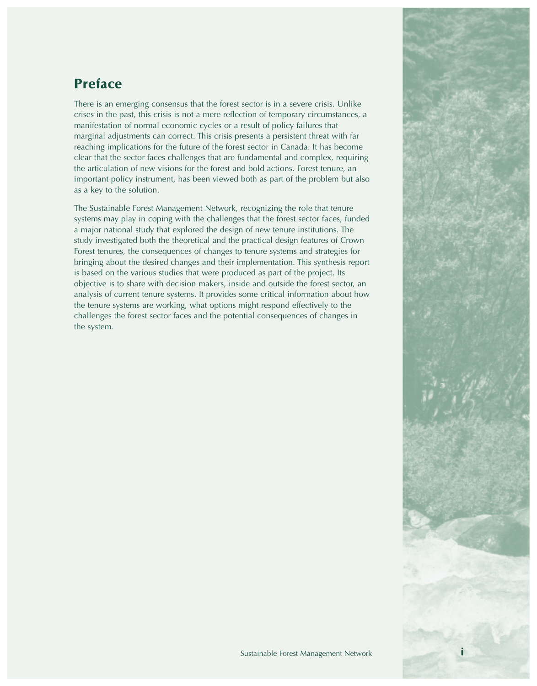# **Preface**

*There is an emerging consensus that the forest sector is in a severe crisis. Unlike crises in the past, this crisis is not a mere reflection of temporary circumstances, a manifestation of normal economic cycles or a result of policy failures that marginal adjustments can correct. This crisis presents a persistent threat with far reaching implications for the future of the forest sector in Canada. It has become clear that the sector faces challenges that are fundamental and complex, requiring the articulation of new visions for the forest and bold actions. Forest tenure, an important policy instrument, has been viewed both as part of the problem but also as a key to the solution.* 

*The Sustainable Forest Management Network, recognizing the role that tenure systems may play in coping with the challenges that the forest sector faces, funded a major national study that explored the design of new tenure institutions. The study investigated both the theoretical and the practical design features of Crown Forest tenures, the consequences of changes to tenure systems and strategies for bringing about the desired changes and their implementation. This synthesis report is based on the various studies that were produced as part of the project. Its objective is to share with decision makers, inside and outside the forest sector, an analysis of current tenure systems. It provides some critical information about how the tenure systems are working, what options might respond effectively to the challenges the forest sector faces and the potential consequences of changes in the system.* 

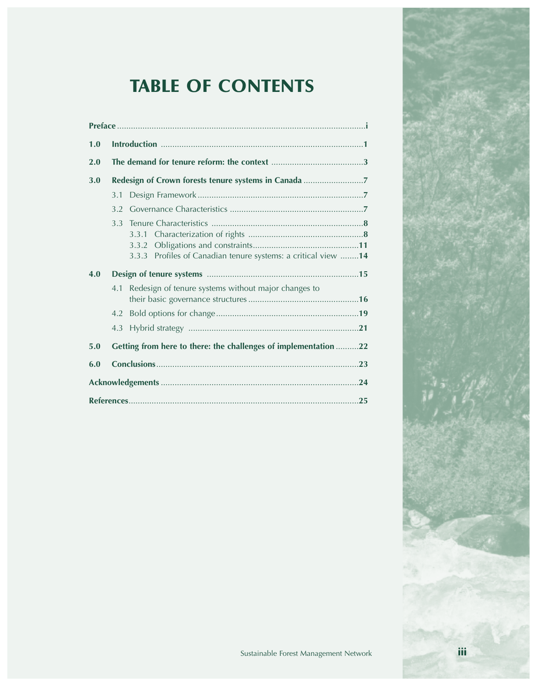# **TABLE OF CONTENTS**

| 1.0 |                  |                                                                 |  |
|-----|------------------|-----------------------------------------------------------------|--|
| 2.0 |                  |                                                                 |  |
| 3.0 |                  | Redesign of Crown forests tenure systems in Canada              |  |
|     | 3.1              |                                                                 |  |
|     | 3.2              |                                                                 |  |
|     | 3.3 <sup>°</sup> |                                                                 |  |
|     |                  | 3.3.2                                                           |  |
|     |                  | 3.3.3 Profiles of Canadian tenure systems: a critical view 14   |  |
| 4.0 |                  |                                                                 |  |
|     | 4.1              | Redesign of tenure systems without major changes to             |  |
|     | 4.2              |                                                                 |  |
|     | 4.3              |                                                                 |  |
| 5.0 |                  | Getting from here to there: the challenges of implementation 22 |  |
| 6.0 |                  |                                                                 |  |
|     |                  |                                                                 |  |
|     |                  |                                                                 |  |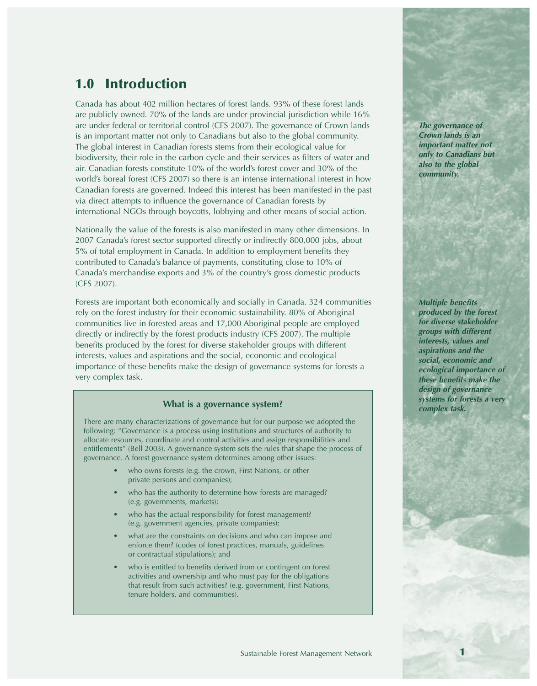# **1.0 Introduction**

*Canada has about 402 million hectares of forest lands. 93% of these forest lands are publicly owned. 70% of the lands are under provincial jurisdiction while 16% are under federal or territorial control (CFS 2007). The governance of Crown lands is an important matter not only to Canadians but also to the global community. The global interest in Canadian forests stems from their ecological value for biodiversity, their role in the carbon cycle and their services as filters of water and air. Canadian forests constitute 10% of the world's forest cover and 30% of the world's boreal forest (CFS 2007) so there is an intense international interest in how Canadian forests are governed. Indeed this interest has been manifested in the past via direct attempts to influence the governance of Canadian forests by international NGOs through boycotts, lobbying and other means of social action.* 

*Nationally the value of the forests is also manifested in many other dimensions. In 2007 Canada's forest sector supported directly or indirectly 800,000 jobs, about 5% of total employment in Canada. In addition to employment benefits they contributed to Canada's balance of payments, constituting close to 10% of Canada's merchandise exports and 3% of the country's gross domestic products (CFS 2007).* 

*Forests are important both economically and socially in Canada. 324 communities rely on the forest industry for their economic sustainability. 80% of Aboriginal communities live in forested areas and 17,000 Aboriginal people are employed directly or indirectly by the forest products industry (CFS 2007). The multiple benefits produced by the forest for diverse stakeholder groups with different interests, values and aspirations and the social, economic and ecological importance of these benefits make the design of governance systems for forests a very complex task.*

#### *systems for forests a very What is a governance system? complex task.*

*There are many characterizations of governance but for our purpose we adopted the following: "Governance is a process using institutions and structures of authority to allocate resources, coordinate and control activities and assign responsibilities and entitlements" (Bell 2003). A governance system sets the rules that shape the process of governance. A forest governance system determines among other issues:*

- *who owns forests (e.g. the crown, First Nations, or other private persons and companies);*
- *who has the authority to determine how forests are managed? (e.g. governments, markets);*
- *who has the actual responsibility for forest management? (e.g. government agencies, private companies);*
- *what are the constraints on decisions and who can impose and enforce them? (codes of forest practices, manuals, guidelines or contractual stipulations); and*
- *who is entitled to benefits derived from or contingent on forest activities and ownership and who must pay for the obligations that result from such activities? (e.g. government, First Nations, tenure holders, and communities).*

*The governance of Crown lands is an important matter not only to Canadians but also to the global community.*

*Multiple benefits produced by the forest for diverse stakeholder groups with different interests, values and aspirations and the social, economic and ecological importance of these benefits make the design of governance*

**1**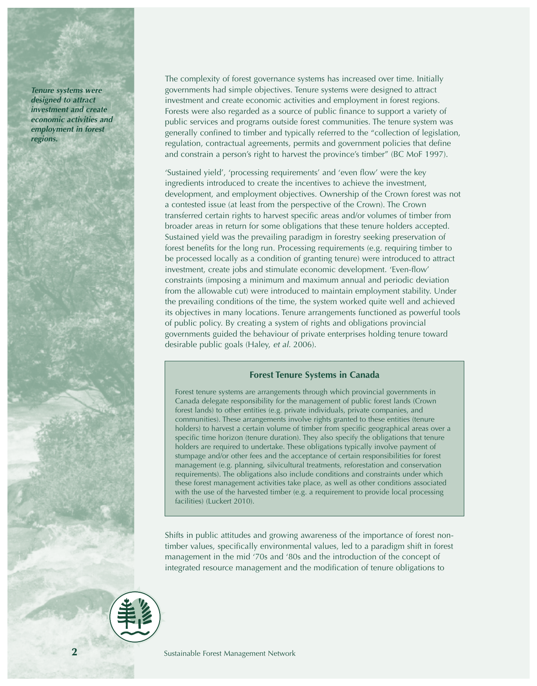*Tenure systems were designed to attract investment and create economic activities and employment in forest regions.*

*The complexity of forest governance systems has increased over time. Initially governments had simple objectives. Tenure systems were designed to attract investment and create economic activities and employment in forest regions. Forests were also regarded as a source of public finance to support a variety of public services and programs outside forest communities. The tenure system was generally confined to timber and typically referred to the "collection of legislation, regulation, contractual agreements, permits and government policies that define and constrain a person's right to harvest the province's timber" (BC MoF 1997).*

*'Sustained yield', 'processing requirements' and 'even flow' were the key ingredients introduced to create the incentives to achieve the investment, development, and employment objectives. Ownership of the Crown forest was not a contested issue (at least from the perspective of the Crown). The Crown transferred certain rights to harvest specific areas and/or volumes of timber from broader areas in return for some obligations that these tenure holders accepted. Sustained yield was the prevailing paradigm in forestry seeking preservation of forest benefits for the long run. Processing requirements (e.g. requiring timber to be processed locally as a condition of granting tenure) were introduced to attract investment, create jobs and stimulate economic development. 'Even-flow' constraints (imposing a minimum and maximum annual and periodic deviation from the allowable cut) were introduced to maintain employment stability. Under the prevailing conditions of the time, the system worked quite well and achieved its objectives in many locations. Tenure arrangements functioned as powerful tools of public policy. By creating a system of rights and obligations provincial governments guided the behaviour of private enterprises holding tenure toward desirable public goals (Haley, et al. 2006).*

#### *Forest Tenure Systems in Canada*

*Forest tenure systems are arrangements through which provincial governments in Canada delegate responsibility for the management of public forest lands (Crown forest lands) to other entities (e.g. private individuals, private companies, and communities). These arrangements involve rights granted to these entities (tenure holders) to harvest a certain volume of timber from specific geographical areas over a specific time horizon (tenure duration). They also specify the obligations that tenure holders are required to undertake. These obligations typically involve payment of stumpage and/or other fees and the acceptance of certain responsibilities for forest management (e.g. planning, silvicultural treatments, reforestation and conservation requirements). The obligations also include conditions and constraints under which these forest management activities take place, as well as other conditions associated with the use of the harvested timber (e.g. a requirement to provide local processing facilities) (Luckert 2010).* 

*Shifts in public attitudes and growing awareness of the importance of forest nontimber values, specifically environmental values, led to a paradigm shift in forest management in the mid '70s and '80s and the introduction of the concept of integrated resource management and the modification of tenure obligations to*

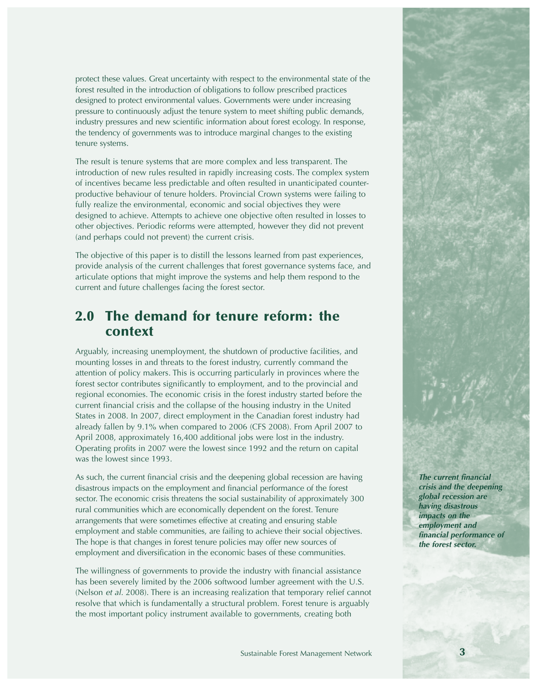*protect these values. Great uncertainty with respect to the environmental state of the forest resulted in the introduction of obligations to follow prescribed practices designed to protect environmental values. Governments were under increasing pressure to continuously adjust the tenure system to meet shifting public demands, industry pressures and new scientific information about forest ecology. In response, the tendency of governments was to introduce marginal changes to the existing tenure systems.*

*The result is tenure systems that are more complex and less transparent. The introduction of new rules resulted in rapidly increasing costs. The complex system of incentives became less predictable and often resulted in unanticipated counterproductive behaviour of tenure holders. Provincial Crown systems were failing to fully realize the environmental, economic and social objectives they were designed to achieve. Attempts to achieve one objective often resulted in losses to other objectives. Periodic reforms were attempted, however they did not prevent (and perhaps could not prevent) the current crisis.* 

*The objective of this paper is to distill the lessons learned from past experiences, provide analysis of the current challenges that forest governance systems face, and articulate options that might improve the systems and help them respond to the current and future challenges facing the forest sector.*

# **2.0 The demand for tenure reform: the context**

*Arguably, increasing unemployment, the shutdown of productive facilities, and mounting losses in and threats to the forest industry, currently command the attention of policy makers. This is occurring particularly in provinces where the forest sector contributes significantly to employment, and to the provincial and regional economies. The economic crisis in the forest industry started before the current financial crisis and the collapse of the housing industry in the United States in 2008. In 2007, direct employment in the Canadian forest industry had already fallen by 9.1% when compared to 2006 (CFS 2008). From April 2007 to April 2008, approximately 16,400 additional jobs were lost in the industry. Operating profits in 2007 were the lowest since 1992 and the return on capital was the lowest since 1993.* 

*As such, the current financial crisis and the deepening global recession are having disastrous impacts on the employment and financial performance of the forest sector. The economic crisis threatens the social sustainability of approximately 300 rural communities which are economically dependent on the forest. Tenure arrangements that were sometimes effective at creating and ensuring stable employment and stable communities, are failing to achieve their social objectives. The hope is that changes in forest tenure policies may offer new sources of employment and diversification in the economic bases of these communities.*

*The willingness of governments to provide the industry with financial assistance has been severely limited by the 2006 softwood lumber agreement with the U.S. (Nelson et al. 2008). There is an increasing realization that temporary relief cannot resolve that which is fundamentally a structural problem. Forest tenure is arguably the most important policy instrument available to governments, creating both*

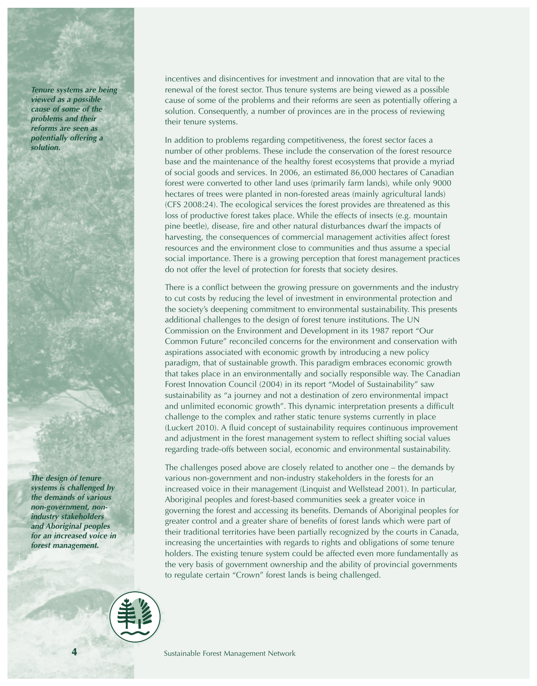*Tenure systems are being viewed as a possible cause of some of the problems and their reforms are seen as potentially offering a solution.*

*The design of tenure systems is challenged by the demands of various non-government, nonindustry stakeholders and Aboriginal peoples for an increased voice in forest management.*

*incentives and disincentives for investment and innovation that are vital to the renewal of the forest sector. Thus tenure systems are being viewed as a possible cause of some of the problems and their reforms are seen as potentially offering a solution. Consequently, a number of provinces are in the process of reviewing their tenure systems.*

*In addition to problems regarding competitiveness, the forest sector faces a number of other problems. These include the conservation of the forest resource base and the maintenance of the healthy forest ecosystems that provide a myriad of social goods and services. In 2006, an estimated 86,000 hectares of Canadian forest were converted to other land uses (primarily farm lands), while only 9000 hectares of trees were planted in non-forested areas (mainly agricultural lands) (CFS 2008:24). The ecological services the forest provides are threatened as this loss of productive forest takes place. While the effects of insects (e.g. mountain pine beetle), disease, fire and other natural disturbances dwarf the impacts of harvesting, the consequences of commercial management activities affect forest resources and the environment close to communities and thus assume a special social importance. There is a growing perception that forest management practices do not offer the level of protection for forests that society desires.*

*There is a conflict between the growing pressure on governments and the industry to cut costs by reducing the level of investment in environmental protection and the society's deepening commitment to environmental sustainability. This presents additional challenges to the design of forest tenure institutions. The UN Commission on the Environment and Development in its 1987 report "Our Common Future" reconciled concerns for the environment and conservation with aspirations associated with economic growth by introducing a new policy paradigm, that of sustainable growth. This paradigm embraces economic growth that takes place in an environmentally and socially responsible way. The Canadian Forest Innovation Council (2004) in its report "Model of Sustainability" saw sustainability as "a journey and not a destination of zero environmental impact and unlimited economic growth". This dynamic interpretation presents a difficult challenge to the complex and rather static tenure systems currently in place (Luckert 2010). A fluid concept of sustainability requires continuous improvement and adjustment in the forest management system to reflect shifting social values regarding trade-offs between social, economic and environmental sustainability.*

*The challenges posed above are closely related to another one – the demands by various non-government and non-industry stakeholders in the forests for an increased voice in their management (Linquist and Wellstead 2001). In particular, Aboriginal peoples and forest-based communities seek a greater voice in governing the forest and accessing its benefits. Demands of Aboriginal peoples for greater control and a greater share of benefits of forest lands which were part of their traditional territories have been partially recognized by the courts in Canada, increasing the uncertainties with regards to rights and obligations of some tenure holders. The existing tenure system could be affected even more fundamentally as the very basis of government ownership and the ability of provincial governments to regulate certain "Crown" forest lands is being challenged.* 

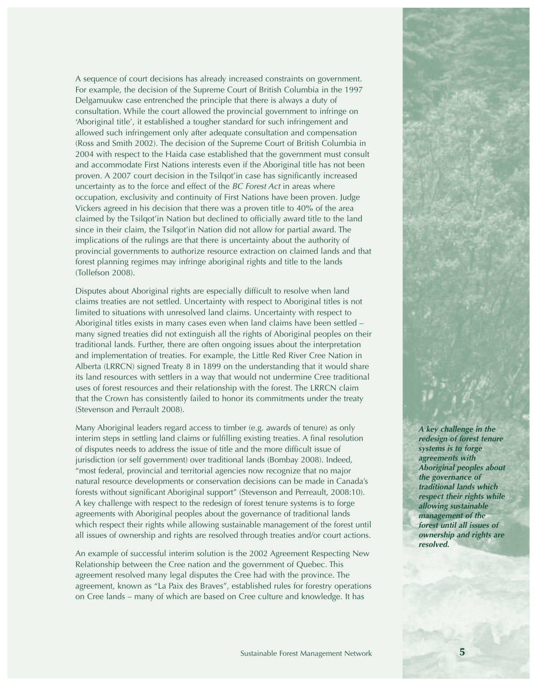*A sequence of court decisions has already increased constraints on government. For example, the decision of the Supreme Court of British Columbia in the 1997 Delgamuukw case entrenched the principle that there is always a duty of consultation. While the court allowed the provincial government to infringe on 'Aboriginal title', it established a tougher standard for such infringement and allowed such infringement only after adequate consultation and compensation (Ross and Smith 2002). The decision of the Supreme Court of British Columbia in 2004 with respect to the Haida case established that the government must consult and accommodate First Nations interests even if the Aboriginal title has not been proven. A 2007 court decision in the Tsilqot'in case has significantly increased uncertainty as to the force and effect of the BC Forest Act in areas where occupation, exclusivity and continuity of First Nations have been proven. Judge Vickers agreed in his decision that there was a proven title to 40% of the area claimed by the Tsilqot'in Nation but declined to officially award title to the land since in their claim, the Tsilqot'in Nation did not allow for partial award. The implications of the rulings are that there is uncertainty about the authority of provincial governments to authorize resource extraction on claimed lands and that forest planning regimes may infringe aboriginal rights and title to the lands (Tollefson 2008).* 

*Disputes about Aboriginal rights are especially difficult to resolve when land claims treaties are not settled. Uncertainty with respect to Aboriginal titles is not limited to situations with unresolved land claims. Uncertainty with respect to Aboriginal titles exists in many cases even when land claims have been settled – many signed treaties did not extinguish all the rights of Aboriginal peoples on their traditional lands. Further, there are often ongoing issues about the interpretation and implementation of treaties. For example, the Little Red River Cree Nation in Alberta (LRRCN) signed Treaty 8 in 1899 on the understanding that it would share its land resources with settlers in a way that would not undermine Cree traditional uses of forest resources and their relationship with the forest. The LRRCN claim that the Crown has consistently failed to honor its commitments under the treaty (Stevenson and Perrault 2008).* 

*Many Aboriginal leaders regard access to timber (e.g. awards of tenure) as only interim steps in settling land claims or fulfilling existing treaties. A final resolution of disputes needs to address the issue of title and the more difficult issue of jurisdiction (or self government) over traditional lands (Bombay 2008). Indeed, "most federal, provincial and territorial agencies now recognize that no major natural resource developments or conservation decisions can be made in Canada's forests without significant Aboriginal support" (Stevenson and Perreault, 2008:10). A key challenge with respect to the redesign of forest tenure systems is to forge agreements with Aboriginal peoples about the governance of traditional lands which respect their rights while allowing sustainable management of the forest until all issues of ownership and rights are resolved through treaties and/or court actions.*

*An example of successful interim solution is the 2002 Agreement Respecting New Relationship between the Cree nation and the government of Quebec. This agreement resolved many legal disputes the Cree had with the province. The agreement, known as "La Paix des Braves", established rules for forestry operations on Cree lands – many of which are based on Cree culture and knowledge. It has*

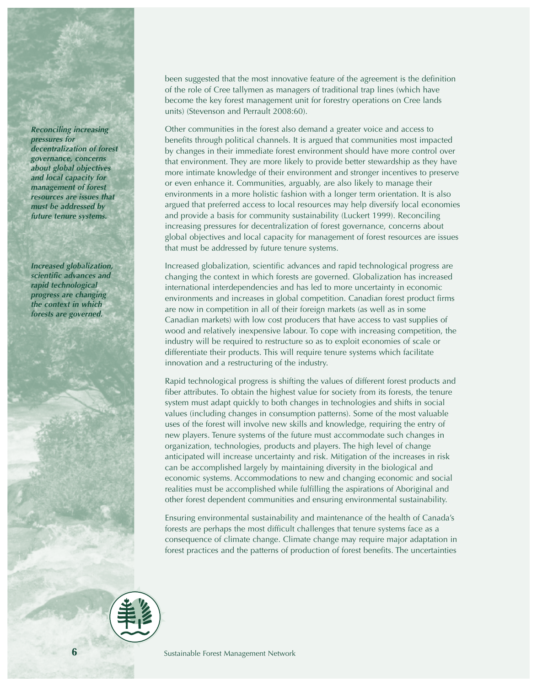*Reconciling increasing pressures for decentralization of forest governance, concerns about global objectives and local capacity for management of forest resources are issues that must be addressed by future tenure systems.*

*Increased globalization, scientific advances and rapid technological progress are changing the context in which forests are governed.*

*been suggested that the most innovative feature of the agreement is the definition of the role of Cree tallymen as managers of traditional trap lines (which have become the key forest management unit for forestry operations on Cree lands units) (Stevenson and Perrault 2008:60).* 

*Other communities in the forest also demand a greater voice and access to benefits through political channels. It is argued that communities most impacted by changes in their immediate forest environment should have more control over that environment. They are more likely to provide better stewardship as they have more intimate knowledge of their environment and stronger incentives to preserve or even enhance it. Communities, arguably, are also likely to manage their environments in a more holistic fashion with a longer term orientation. It is also argued that preferred access to local resources may help diversify local economies and provide a basis for community sustainability (Luckert 1999). Reconciling increasing pressures for decentralization of forest governance, concerns about global objectives and local capacity for management of forest resources are issues that must be addressed by future tenure systems.* 

*Increased globalization, scientific advances and rapid technological progress are changing the context in which forests are governed. Globalization has increased international interdependencies and has led to more uncertainty in economic environments and increases in global competition. Canadian forest product firms are now in competition in all of their foreign markets (as well as in some Canadian markets) with low cost producers that have access to vast supplies of wood and relatively inexpensive labour. To cope with increasing competition, the industry will be required to restructure so as to exploit economies of scale or differentiate their products. This will require tenure systems which facilitate innovation and a restructuring of the industry.* 

*Rapid technological progress is shifting the values of different forest products and fiber attributes. To obtain the highest value for society from its forests, the tenure system must adapt quickly to both changes in technologies and shifts in social values (including changes in consumption patterns). Some of the most valuable uses of the forest will involve new skills and knowledge, requiring the entry of new players. Tenure systems of the future must accommodate such changes in organization, technologies, products and players. The high level of change anticipated will increase uncertainty and risk. Mitigation of the increases in risk can be accomplished largely by maintaining diversity in the biological and economic systems. Accommodations to new and changing economic and social realities must be accomplished while fulfilling the aspirations of Aboriginal and other forest dependent communities and ensuring environmental sustainability.* 

*Ensuring environmental sustainability and maintenance of the health of Canada's forests are perhaps the most difficult challenges that tenure systems face as a consequence of climate change. Climate change may require major adaptation in forest practices and the patterns of production of forest benefits. The uncertainties*

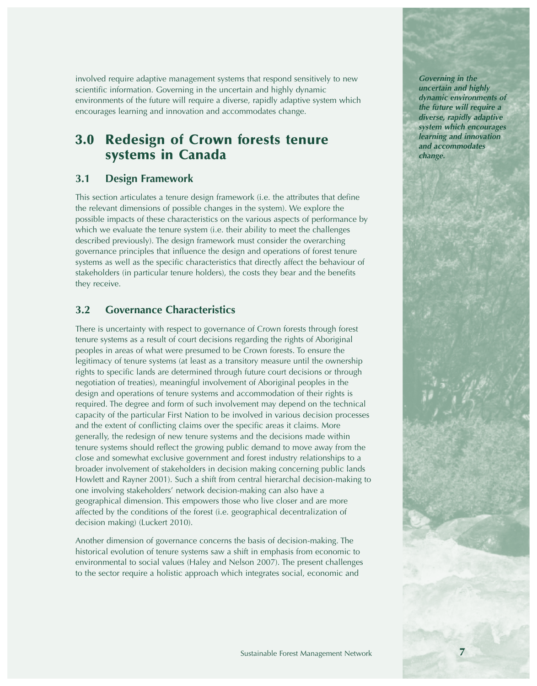*involved require adaptive management systems that respond sensitively to new scientific information. Governing in the uncertain and highly dynamic environments of the future will require a diverse, rapidly adaptive system which encourages learning and innovation and accommodates change.*

# **3.0 Redesign of Crown forests tenure systems in Canada**

#### *3.1 Design Framework*

*This section articulates a tenure design framework (i.e. the attributes that define the relevant dimensions of possible changes in the system). We explore the possible impacts of these characteristics on the various aspects of performance by which we evaluate the tenure system (i.e. their ability to meet the challenges described previously). The design framework must consider the overarching governance principles that influence the design and operations of forest tenure systems as well as the specific characteristics that directly affect the behaviour of stakeholders (in particular tenure holders), the costs they bear and the benefits they receive.* 

#### *3.2 Governance Characteristics*

*There is uncertainty with respect to governance of Crown forests through forest tenure systems as a result of court decisions regarding the rights of Aboriginal peoples in areas of what were presumed to be Crown forests. To ensure the legitimacy of tenure systems (at least as a transitory measure until the ownership rights to specific lands are determined through future court decisions or through negotiation of treaties), meaningful involvement of Aboriginal peoples in the design and operations of tenure systems and accommodation of their rights is required. The degree and form of such involvement may depend on the technical capacity of the particular First Nation to be involved in various decision processes and the extent of conflicting claims over the specific areas it claims. More generally, the redesign of new tenure systems and the decisions made within tenure systems should reflect the growing public demand to move away from the close and somewhat exclusive government and forest industry relationships to a broader involvement of stakeholders in decision making concerning public lands Howlett and Rayner 2001). Such a shift from central hierarchal decision-making to one involving stakeholders' network decision-making can also have a geographical dimension. This empowers those who live closer and are more affected by the conditions of the forest (i.e. geographical decentralization of decision making) (Luckert 2010).* 

*Another dimension of governance concerns the basis of decision-making. The historical evolution of tenure systems saw a shift in emphasis from economic to environmental to social values (Haley and Nelson 2007). The present challenges to the sector require a holistic approach which integrates social, economic and*

*Governing in the uncertain and highly dynamic environments of the future will require a diverse, rapidly adaptive system which encourages learning and innovation and accommodates change.*

**7**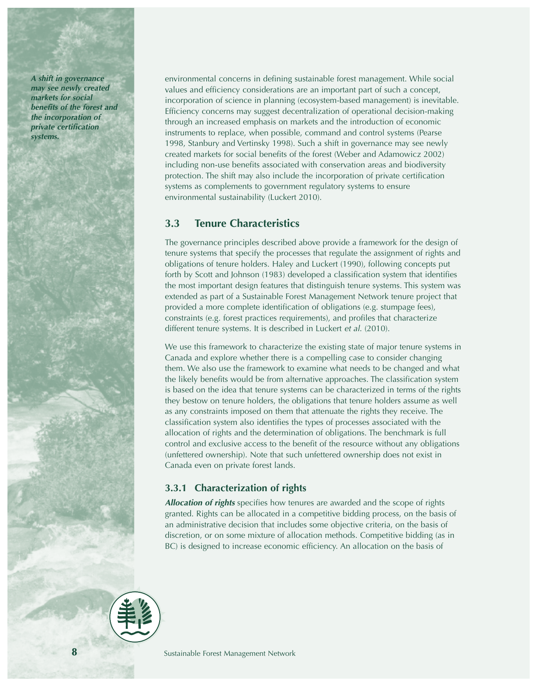*A shift in governance may see newly created markets for social benefits of the forest and the incorporation of private certification systems.*

*environmental concerns in defining sustainable forest management. While social values and efficiency considerations are an important part of such a concept, incorporation of science in planning (ecosystem-based management) is inevitable. Efficiency concerns may suggest decentralization of operational decision-making through an increased emphasis on markets and the introduction of economic instruments to replace, when possible, command and control systems (Pearse 1998, Stanbury and Vertinsky 1998). Such a shift in governance may see newly created markets for social benefits of the forest (Weber and Adamowicz 2002) including non-use benefits associated with conservation areas and biodiversity protection. The shift may also include the incorporation of private certification systems as complements to government regulatory systems to ensure environmental sustainability (Luckert 2010).*

#### *3.3 Tenure Characteristics*

*The governance principles described above provide a framework for the design of tenure systems that specify the processes that regulate the assignment of rights and obligations of tenure holders. Haley and Luckert (1990), following concepts put forth by Scott and Johnson (1983) developed a classification system that identifies the most important design features that distinguish tenure systems. This system was extended as part of a Sustainable Forest Management Network tenure project that provided a more complete identification of obligations (e.g. stumpage fees), constraints (e.g. forest practices requirements), and profiles that characterize different tenure systems. It is described in Luckert <i>et al.* (2010).

*We use this framework to characterize the existing state of major tenure systems in Canada and explore whether there is a compelling case to consider changing them. We also use the framework to examine what needs to be changed and what the likely benefits would be from alternative approaches. The classification system is based on the idea that tenure systems can be characterized in terms of the rights they bestow on tenure holders, the obligations that tenure holders assume as well as any constraints imposed on them that attenuate the rights they receive. The classification system also identifies the types of processes associated with the allocation of rights and the determination of obligations. The benchmark is full control and exclusive access to the benefit of the resource without any obligations (unfettered ownership). Note that such unfettered ownership does not exist in Canada even on private forest lands.*

#### *3.3.1 Characterization of rights*

*Allocation of rights specifies how tenures are awarded and the scope of rights granted. Rights can be allocated in a competitive bidding process, on the basis of an administrative decision that includes some objective criteria, on the basis of discretion, or on some mixture of allocation methods. Competitive bidding (as in BC) is designed to increase economic efficiency. An allocation on the basis of*



*Sustainable Forest Management Network*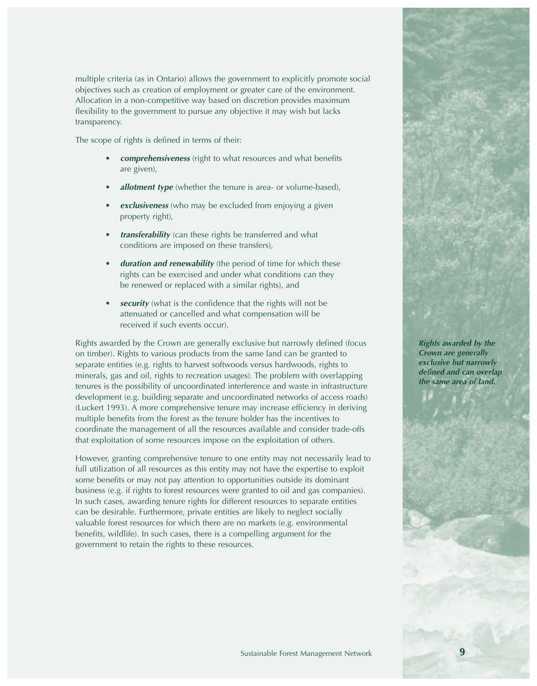*multiple criteria (as in Ontario) allows the government to explicitly promote social objectives such as creation of employment or greater care of the environment. Allocation in a non-competitive way based on discretion provides maximum flexibility to the government to pursue any objective it may wish but lacks transparency.* 

*The scope of rights is defined in terms of their:*

- *• comprehensiveness (right to what resources and what benefits are given),*
- *• allotment type (whether the tenure is area- or volume-based),*
- *• exclusiveness (who may be excluded from enjoying a given property right),*
- *• transferability (can these rights be transferred and what conditions are imposed on these transfers),*
- *• duration and renewability (the period of time for which these rights can be exercised and under what conditions can they be renewed or replaced with a similar rights), and*
- *• security (what is the confidence that the rights will not be attenuated or cancelled and what compensation will be received if such events occur).*

*Rights awarded by the Crown are generally exclusive but narrowly defined (focus on timber). Rights to various products from the same land can be granted to separate entities (e.g. rights to harvest softwoods versus hardwoods, rights to minerals, gas and oil, rights to recreation usages). The problem with overlapping tenures is the possibility of uncoordinated interference and waste in infrastructure development (e.g. building separate and uncoordinated networks of access roads) (Luckert 1993). A more comprehensive tenure may increase efficiency in deriving multiple benefits from the forest as the tenure holder has the incentives to coordinate the management of all the resources available and consider trade-offs that exploitation of some resources impose on the exploitation of others.* 

*However, granting comprehensive tenure to one entity may not necessarily lead to full utilization of all resources as this entity may not have the expertise to exploit some benefits or may not pay attention to opportunities outside its dominant business (e.g. if rights to forest resources were granted to oil and gas companies). In such cases, awarding tenure rights for different resources to separate entities can be desirable. Furthermore, private entities are likely to neglect socially valuable forest resources for which there are no markets (e.g. environmental benefits, wildlife). In such cases, there is a compelling argument for the government to retain the rights to these resources.* 

*Rights awarded by the Crown are generally*

*exclusive but narrowly defined and can overlap the same area of land.*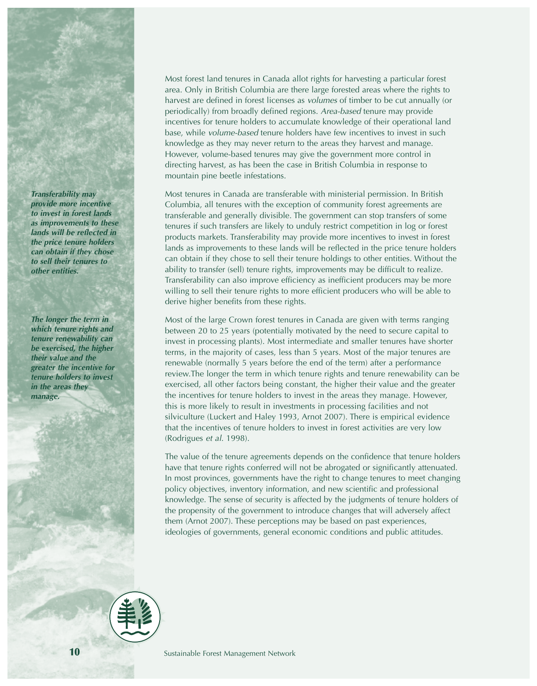*Transferability may provide more incentive to invest in forest lands as improvements to these lands will be reflected in the price tenure holders can obtain if they chose to sell their tenures to other entities.*

*The longer the term in which tenure rights and tenure renewability can be exercised, the higher their value and the greater the incentive for tenure holders to invest in the areas they manage.*

*Most forest land tenures in Canada allot rights for harvesting a particular forest area. Only in British Columbia are there large forested areas where the rights to harvest are defined in forest licenses as volumes of timber to be cut annually (or periodically) from broadly defined regions. Area-based tenure may provide incentives for tenure holders to accumulate knowledge of their operational land base, while volume-based tenure holders have few incentives to invest in such knowledge as they may never return to the areas they harvest and manage. However, volume-based tenures may give the government more control in directing harvest, as has been the case in British Columbia in response to mountain pine beetle infestations.*

*Most tenures in Canada are transferable with ministerial permission. In British Columbia, all tenures with the exception of community forest agreements are transferable and generally divisible. The government can stop transfers of some tenures if such transfers are likely to unduly restrict competition in log or forest products markets. Transferability may provide more incentives to invest in forest lands as improvements to these lands will be reflected in the price tenure holders can obtain if they chose to sell their tenure holdings to other entities. Without the ability to transfer (sell) tenure rights, improvements may be difficult to realize. Transferability can also improve efficiency as inefficient producers may be more willing to sell their tenure rights to more efficient producers who will be able to derive higher benefits from these rights.*

*Most of the large Crown forest tenures in Canada are given with terms ranging between 20 to 25 years (potentially motivated by the need to secure capital to invest in processing plants). Most intermediate and smaller tenures have shorter terms, in the majority of cases, less than 5 years. Most of the major tenures are renewable (normally 5 years before the end of the term) after a performance review.The longer the term in which tenure rights and tenure renewability can be exercised, all other factors being constant, the higher their value and the greater the incentives for tenure holders to invest in the areas they manage. However, this is more likely to result in investments in processing facilities and not silviculture (Luckert and Haley 1993, Arnot 2007). There is empirical evidence that the incentives of tenure holders to invest in forest activities are very low (Rodrigues et al. 1998).* 

*The value of the tenure agreements depends on the confidence that tenure holders have that tenure rights conferred will not be abrogated or significantly attenuated. In most provinces, governments have the right to change tenures to meet changing policy objectives, inventory information, and new scientific and professional knowledge. The sense of security is affected by the judgments of tenure holders of the propensity of the government to introduce changes that will adversely affect them (Arnot 2007). These perceptions may be based on past experiences, ideologies of governments, general economic conditions and public attitudes.* 

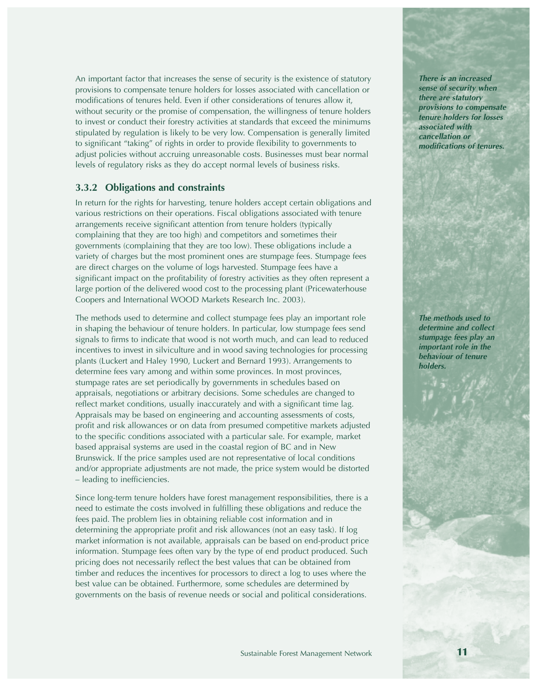*An important factor that increases the sense of security is the existence of statutory provisions to compensate tenure holders for losses associated with cancellation or modifications of tenures held. Even if other considerations of tenures allow it, without security or the promise of compensation, the willingness of tenure holders to invest or conduct their forestry activities at standards that exceed the minimums stipulated by regulation is likely to be very low. Compensation is generally limited to significant "taking" of rights in order to provide flexibility to governments to adjust policies without accruing unreasonable costs. Businesses must bear normal levels of regulatory risks as they do accept normal levels of business risks.*

#### *3.3.2 Obligations and constraints*

*In return for the rights for harvesting, tenure holders accept certain obligations and various restrictions on their operations. Fiscal obligations associated with tenure arrangements receive significant attention from tenure holders (typically complaining that they are too high) and competitors and sometimes their governments (complaining that they are too low). These obligations include a variety of charges but the most prominent ones are stumpage fees. Stumpage fees are direct charges on the volume of logs harvested. Stumpage fees have a significant impact on the profitability of forestry activities as they often represent a large portion of the delivered wood cost to the processing plant (Pricewaterhouse Coopers and International WOOD Markets Research Inc. 2003).* 

*The methods used to determine and collect stumpage fees play an important role in shaping the behaviour of tenure holders. In particular, low stumpage fees send signals to firms to indicate that wood is not worth much, and can lead to reduced incentives to invest in silviculture and in wood saving technologies for processing plants (Luckert and Haley 1990, Luckert and Bernard 1993). Arrangements to determine fees vary among and within some provinces. In most provinces, stumpage rates are set periodically by governments in schedules based on appraisals, negotiations or arbitrary decisions. Some schedules are changed to reflect market conditions, usually inaccurately and with a significant time lag. Appraisals may be based on engineering and accounting assessments of costs, profit and risk allowances or on data from presumed competitive markets adjusted to the specific conditions associated with a particular sale. For example, market based appraisal systems are used in the coastal region of BC and in New Brunswick. If the price samples used are not representative of local conditions and/or appropriate adjustments are not made, the price system would be distorted – leading to inefficiencies.* 

*Since long-term tenure holders have forest management responsibilities, there is a need to estimate the costs involved in fulfilling these obligations and reduce the fees paid. The problem lies in obtaining reliable cost information and in determining the appropriate profit and risk allowances (not an easy task). If log market information is not available, appraisals can be based on end-product price information. Stumpage fees often vary by the type of end product produced. Such pricing does not necessarily reflect the best values that can be obtained from timber and reduces the incentives for processors to direct a log to uses where the best value can be obtained. Furthermore, some schedules are determined by governments on the basis of revenue needs or social and political considerations.*

*There is an increased sense of security when there are statutory provisions to compensate tenure holders for losses associated with cancellation or modifications of tenures.*

*The methods used to determine and collect stumpage fees play an important role in the behaviour of tenure holders.*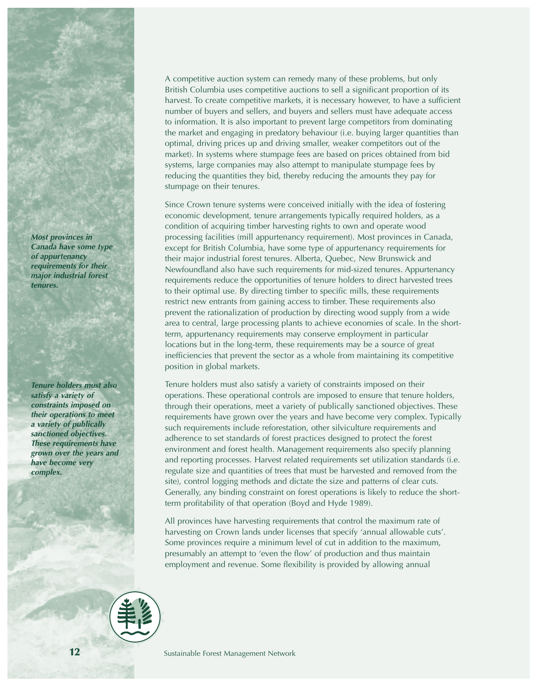*Most provinces in Canada have some type of appurtenancy requirements for their major industrial forest tenures.*

*Tenure holders must also satisfy a variety of constraints imposed on their operations to meet a variety of publically sanctioned objectives. These requirements have grown over the years and have become very complex.*

*A competitive auction system can remedy many of these problems, but only British Columbia uses competitive auctions to sell a significant proportion of its harvest. To create competitive markets, it is necessary however, to have a sufficient number of buyers and sellers, and buyers and sellers must have adequate access to information. It is also important to prevent large competitors from dominating the market and engaging in predatory behaviour (i.e. buying larger quantities than optimal, driving prices up and driving smaller, weaker competitors out of the market). In systems where stumpage fees are based on prices obtained from bid systems, large companies may also attempt to manipulate stumpage fees by reducing the quantities they bid, thereby reducing the amounts they pay for stumpage on their tenures.*

*Since Crown tenure systems were conceived initially with the idea of fostering economic development, tenure arrangements typically required holders, as a condition of acquiring timber harvesting rights to own and operate wood processing facilities (mill appurtenancy requirement). Most provinces in Canada, except for British Columbia, have some type of appurtenancy requirements for their major industrial forest tenures. Alberta, Quebec, New Brunswick and Newfoundland also have such requirements for mid-sized tenures. Appurtenancy requirements reduce the opportunities of tenure holders to direct harvested trees to their optimal use. By directing timber to specific mills, these requirements restrict new entrants from gaining access to timber. These requirements also prevent the rationalization of production by directing wood supply from a wide area to central, large processing plants to achieve economies of scale. In the shortterm, appurtenancy requirements may conserve employment in particular locations but in the long-term, these requirements may be a source of great inefficiencies that prevent the sector as a whole from maintaining its competitive position in global markets.*

*Tenure holders must also satisfy a variety of constraints imposed on their operations. These operational controls are imposed to ensure that tenure holders, through their operations, meet a variety of publically sanctioned objectives. These requirements have grown over the years and have become very complex. Typically such requirements include reforestation, other silviculture requirements and adherence to set standards of forest practices designed to protect the forest environment and forest health. Management requirements also specify planning and reporting processes. Harvest related requirements set utilization standards (i.e. regulate size and quantities of trees that must be harvested and removed from the site), control logging methods and dictate the size and patterns of clear cuts. Generally, any binding constraint on forest operations is likely to reduce the shortterm profitability of that operation (Boyd and Hyde 1989).* 

*All provinces have harvesting requirements that control the maximum rate of harvesting on Crown lands under licenses that specify 'annual allowable cuts'. Some provinces require a minimum level of cut in addition to the maximum, presumably an attempt to 'even the flow' of production and thus maintain employment and revenue. Some flexibility is provided by allowing annual*

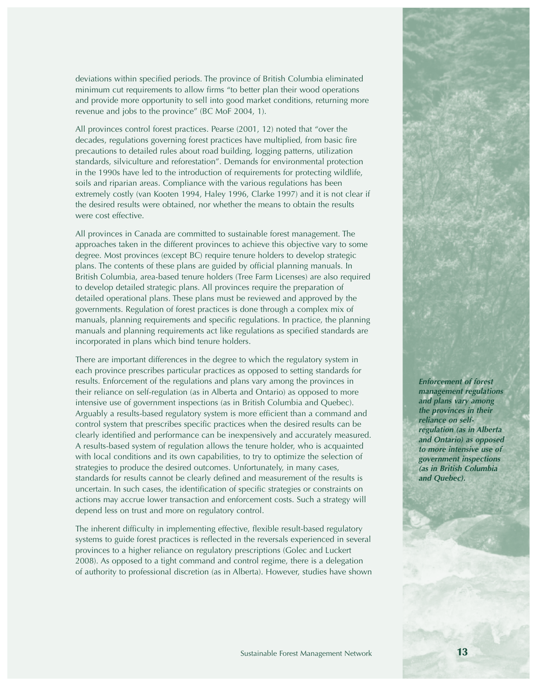*deviations within specified periods. The province of British Columbia eliminated minimum cut requirements to allow firms "to better plan their wood operations and provide more opportunity to sell into good market conditions, returning more revenue and jobs to the province" (BC MoF 2004, 1).*

*All provinces control forest practices. Pearse (2001, 12) noted that "over the decades, regulations governing forest practices have multiplied, from basic fire precautions to detailed rules about road building, logging patterns, utilization standards, silviculture and reforestation". Demands for environmental protection in the 1990s have led to the introduction of requirements for protecting wildlife, soils and riparian areas. Compliance with the various regulations has been extremely costly (van Kooten 1994, Haley 1996, Clarke 1997) and it is not clear if the desired results were obtained, nor whether the means to obtain the results were cost effective.* 

*All provinces in Canada are committed to sustainable forest management. The approaches taken in the different provinces to achieve this objective vary to some degree. Most provinces (except BC) require tenure holders to develop strategic plans. The contents of these plans are guided by official planning manuals. In British Columbia, area-based tenure holders (Tree Farm Licenses) are also required to develop detailed strategic plans. All provinces require the preparation of detailed operational plans. These plans must be reviewed and approved by the governments. Regulation of forest practices is done through a complex mix of manuals, planning requirements and specific regulations. In practice, the planning manuals and planning requirements act like regulations as specified standards are incorporated in plans which bind tenure holders.*

*There are important differences in the degree to which the regulatory system in each province prescribes particular practices as opposed to setting standards for results. Enforcement of the regulations and plans vary among the provinces in their reliance on self-regulation (as in Alberta and Ontario) as opposed to more intensive use of government inspections (as in British Columbia and Quebec). Arguably a results-based regulatory system is more efficient than a command and control system that prescribes specific practices when the desired results can be clearly identified and performance can be inexpensively and accurately measured. A results-based system of regulation allows the tenure holder, who is acquainted with local conditions and its own capabilities, to try to optimize the selection of strategies to produce the desired outcomes. Unfortunately, in many cases, standards for results cannot be clearly defined and measurement of the results is uncertain. In such cases, the identification of specific strategies or constraints on actions may accrue lower transaction and enforcement costs. Such a strategy will depend less on trust and more on regulatory control.*

*The inherent difficulty in implementing effective, flexible result-based regulatory systems to guide forest practices is reflected in the reversals experienced in several provinces to a higher reliance on regulatory prescriptions (Golec and Luckert 2008). As opposed to a tight command and control regime, there is a delegation of authority to professional discretion (as in Alberta). However, studies have shown*

*Enforcement of forest management regulations and plans vary among the provinces in their reliance on selfregulation (as in Alberta and Ontario) as opposed to more intensive use of government inspections (as in British Columbia and Quebec).*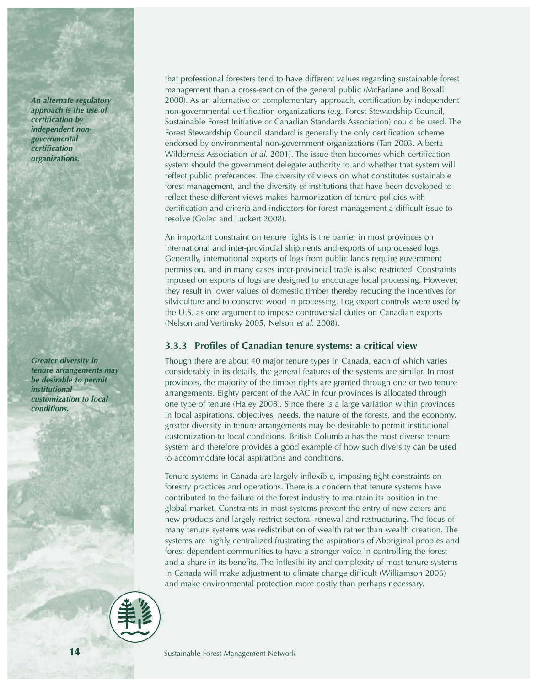*An alternate regulatory approach is the use of certification by independent nongovernmental certification organizations.*

*Greater diversity in tenure arrangements may be desirable to permit institutional customization to local conditions.*

*that professional foresters tend to have different values regarding sustainable forest management than a cross-section of the general public (McFarlane and Boxall 2000). As an alternative or complementary approach, certification by independent non-governmental certification organizations (e.g. Forest Stewardship Council, Sustainable Forest Initiative or Canadian Standards Association) could be used. The Forest Stewardship Council standard is generally the only certification scheme endorsed by environmental non-government organizations (Tan 2003, Alberta Wilderness Association et al. 2001). The issue then becomes which certification system should the government delegate authority to and whether that system will reflect public preferences. The diversity of views on what constitutes sustainable forest management, and the diversity of institutions that have been developed to reflect these different views makes harmonization of tenure policies with certification and criteria and indicators for forest management a difficult issue to resolve (Golec and Luckert 2008).*

*An important constraint on tenure rights is the barrier in most provinces on international and inter-provincial shipments and exports of unprocessed logs. Generally, international exports of logs from public lands require government permission, and in many cases inter-provincial trade is also restricted. Constraints imposed on exports of logs are designed to encourage local processing. However, they result in lower values of domestic timber thereby reducing the incentives for silviculture and to conserve wood in processing. Log export controls were used by the U.S. as one argument to impose controversial duties on Canadian exports (Nelson and Vertinsky 2005, Nelson et al. 2008).*

#### *3.3.3 Profiles of Canadian tenure systems: a critical view*

*Though there are about 40 major tenure types in Canada, each of which varies considerably in its details, the general features of the systems are similar. In most provinces, the majority of the timber rights are granted through one or two tenure arrangements. Eighty percent of the AAC in four provinces is allocated through one type of tenure (Haley 2008). Since there is a large variation within provinces in local aspirations, objectives, needs, the nature of the forests, and the economy, greater diversity in tenure arrangements may be desirable to permit institutional customization to local conditions. British Columbia has the most diverse tenure system and therefore provides a good example of how such diversity can be used to accommodate local aspirations and conditions.*

*Tenure systems in Canada are largely inflexible, imposing tight constraints on forestry practices and operations. There is a concern that tenure systems have contributed to the failure of the forest industry to maintain its position in the global market. Constraints in most systems prevent the entry of new actors and new products and largely restrict sectoral renewal and restructuring. The focus of many tenure systems was redistribution of wealth rather than wealth creation. The systems are highly centralized frustrating the aspirations of Aboriginal peoples and forest dependent communities to have a stronger voice in controlling the forest and a share in its benefits. The inflexibility and complexity of most tenure systems in Canada will make adjustment to climate change difficult (Williamson 2006) and make environmental protection more costly than perhaps necessary.*

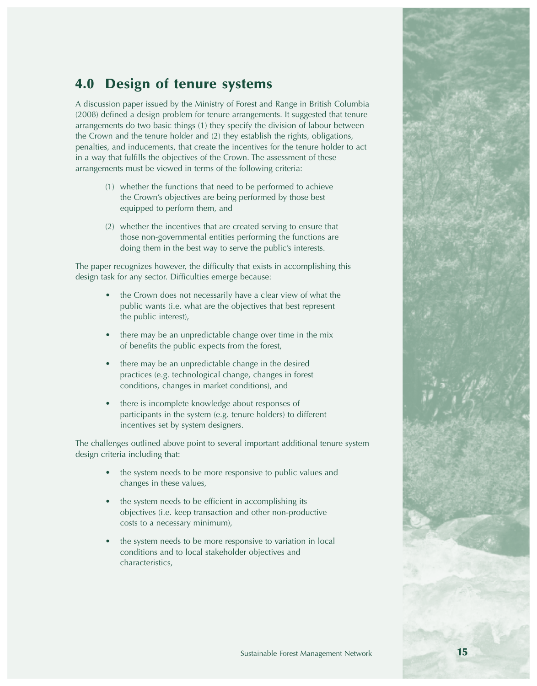# **4.0 Design of tenure systems**

*A discussion paper issued by the Ministry of Forest and Range in British Columbia (2008) defined a design problem for tenure arrangements. It suggested that tenure arrangements do two basic things (1) they specify the division of labour between the Crown and the tenure holder and (2) they establish the rights, obligations, penalties, and inducements, that create the incentives for the tenure holder to act in a way that fulfills the objectives of the Crown. The assessment of these arrangements must be viewed in terms of the following criteria:* 

- *(1) whether the functions that need to be performed to achieve the Crown's objectives are being performed by those best equipped to perform them, and*
- *(2) whether the incentives that are created serving to ensure that those non-governmental entities performing the functions are doing them in the best way to serve the public's interests.*

*The paper recognizes however, the difficulty that exists in accomplishing this design task for any sector. Difficulties emerge because:*

- *the Crown does not necessarily have a clear view of what the public wants (i.e. what are the objectives that best represent the public interest),*
- *there may be an unpredictable change over time in the mix of benefits the public expects from the forest,*
- *there may be an unpredictable change in the desired practices (e.g. technological change, changes in forest conditions, changes in market conditions), and*
- *there is incomplete knowledge about responses of participants in the system (e.g. tenure holders) to different incentives set by system designers.*

*The challenges outlined above point to several important additional tenure system design criteria including that:*

- *the system needs to be more responsive to public values and changes in these values,*
- *the system needs to be efficient in accomplishing its objectives (i.e. keep transaction and other non-productive costs to a necessary minimum),*
- *the system needs to be more responsive to variation in local conditions and to local stakeholder objectives and characteristics,*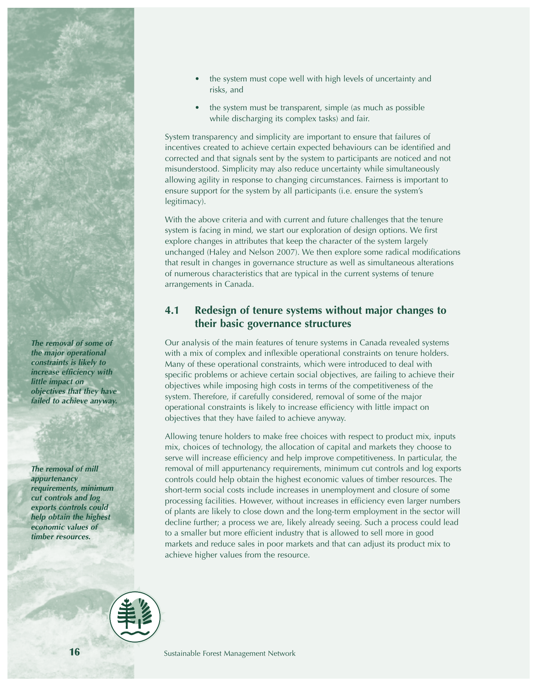

*The removal of some of the major operational constraints is likely to increase efficiency with little impact on objectives that they have failed to achieve anyway.*

*The removal of mill appurtenancy requirements, minimum cut controls and log exports controls could help obtain the highest economic values of timber resources.*

- *the system must cope well with high levels of uncertainty and risks, and*
- *the system must be transparent, simple (as much as possible while discharging its complex tasks) and fair.*

*System transparency and simplicity are important to ensure that failures of incentives created to achieve certain expected behaviours can be identified and corrected and that signals sent by the system to participants are noticed and not misunderstood. Simplicity may also reduce uncertainty while simultaneously allowing agility in response to changing circumstances. Fairness is important to ensure support for the system by all participants (i.e. ensure the system's legitimacy).* 

*With the above criteria and with current and future challenges that the tenure system is facing in mind, we start our exploration of design options. We first explore changes in attributes that keep the character of the system largely unchanged (Haley and Nelson 2007). We then explore some radical modifications that result in changes in governance structure as well as simultaneous alterations of numerous characteristics that are typical in the current systems of tenure arrangements in Canada.*

#### *4.1 Redesign of tenure systems without major changes to their basic governance structures*

*Our analysis of the main features of tenure systems in Canada revealed systems with a mix of complex and inflexible operational constraints on tenure holders. Many of these operational constraints, which were introduced to deal with specific problems or achieve certain social objectives, are failing to achieve their objectives while imposing high costs in terms of the competitiveness of the system. Therefore, if carefully considered, removal of some of the major operational constraints is likely to increase efficiency with little impact on objectives that they have failed to achieve anyway.* 

*Allowing tenure holders to make free choices with respect to product mix, inputs mix, choices of technology, the allocation of capital and markets they choose to serve will increase efficiency and help improve competitiveness. In particular, the removal of mill appurtenancy requirements, minimum cut controls and log exports controls could help obtain the highest economic values of timber resources. The short-term social costs include increases in unemployment and closure of some processing facilities. However, without increases in efficiency even larger numbers of plants are likely to close down and the long-term employment in the sector will decline further; a process we are, likely already seeing. Such a process could lead to a smaller but more efficient industry that is allowed to sell more in good markets and reduce sales in poor markets and that can adjust its product mix to achieve higher values from the resource.*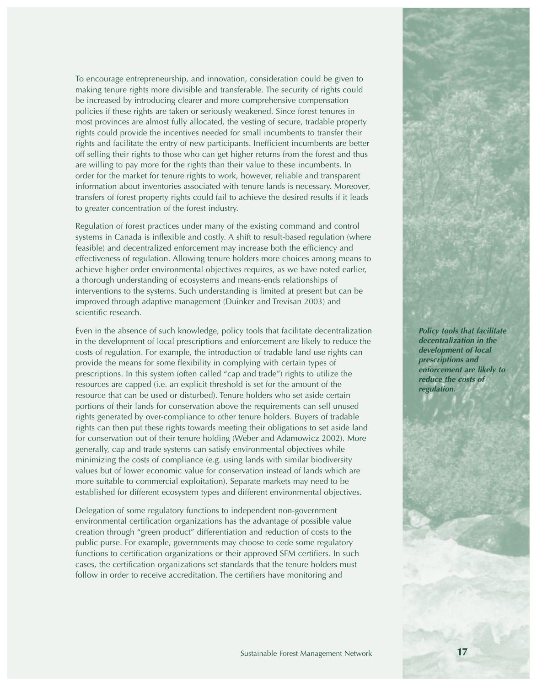*To encourage entrepreneurship, and innovation, consideration could be given to making tenure rights more divisible and transferable. The security of rights could be increased by introducing clearer and more comprehensive compensation policies if these rights are taken or seriously weakened. Since forest tenures in most provinces are almost fully allocated, the vesting of secure, tradable property rights could provide the incentives needed for small incumbents to transfer their rights and facilitate the entry of new participants. Inefficient incumbents are better off selling their rights to those who can get higher returns from the forest and thus are willing to pay more for the rights than their value to these incumbents. In order for the market for tenure rights to work, however, reliable and transparent information about inventories associated with tenure lands is necessary. Moreover, transfers of forest property rights could fail to achieve the desired results if it leads to greater concentration of the forest industry.*

*Regulation of forest practices under many of the existing command and control systems in Canada is inflexible and costly. A shift to result-based regulation (where feasible) and decentralized enforcement may increase both the efficiency and effectiveness of regulation. Allowing tenure holders more choices among means to achieve higher order environmental objectives requires, as we have noted earlier, a thorough understanding of ecosystems and means-ends relationships of interventions to the systems. Such understanding is limited at present but can be improved through adaptive management (Duinker and Trevisan 2003) and scientific research.* 

*Even in the absence of such knowledge, policy tools that facilitate decentralization in the development of local prescriptions and enforcement are likely to reduce the costs of regulation. For example, the introduction of tradable land use rights can provide the means for some flexibility in complying with certain types of prescriptions. In this system (often called "cap and trade") rights to utilize the resources are capped (i.e. an explicit threshold is set for the amount of the resource that can be used or disturbed). Tenure holders who set aside certain portions of their lands for conservation above the requirements can sell unused rights generated by over-compliance to other tenure holders. Buyers of tradable rights can then put these rights towards meeting their obligations to set aside land for conservation out of their tenure holding (Weber and Adamowicz 2002). More generally, cap and trade systems can satisfy environmental objectives while minimizing the costs of compliance (e.g. using lands with similar biodiversity values but of lower economic value for conservation instead of lands which are more suitable to commercial exploitation). Separate markets may need to be established for different ecosystem types and different environmental objectives.*

*Delegation of some regulatory functions to independent non-government environmental certification organizations has the advantage of possible value creation through "green product" differentiation and reduction of costs to the public purse. For example, governments may choose to cede some regulatory functions to certification organizations or their approved SFM certifiers. In such cases, the certification organizations set standards that the tenure holders must follow in order to receive accreditation. The certifiers have monitoring and*

*Policy tools that facilitate decentralization in the development of local prescriptions and enforcement are likely to reduce the costs of regulation.*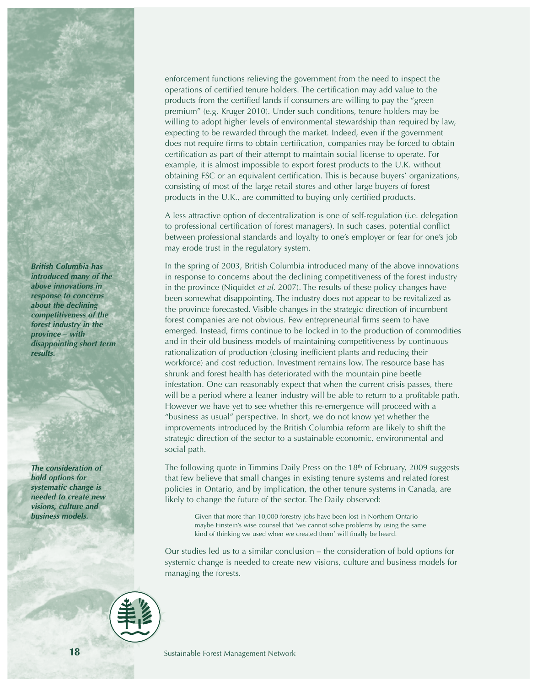*British Columbia has introduced many of the above innovations in response to concerns about the declining competitiveness of the forest industry in the province – with disappointing short term results.*

*The consideration of bold options for systematic change is needed to create new visions, culture and business models.*

*enforcement functions relieving the government from the need to inspect the operations of certified tenure holders. The certification may add value to the products from the certified lands if consumers are willing to pay the "green premium" (e.g. Kruger 2010). Under such conditions, tenure holders may be willing to adopt higher levels of environmental stewardship than required by law, expecting to be rewarded through the market. Indeed, even if the government does not require firms to obtain certification, companies may be forced to obtain certification as part of their attempt to maintain social license to operate. For example, it is almost impossible to export forest products to the U.K. without obtaining FSC or an equivalent certification. This is because buyers' organizations, consisting of most of the large retail stores and other large buyers of forest products in the U.K., are committed to buying only certified products.*

*A less attractive option of decentralization is one of self-regulation (i.e. delegation to professional certification of forest managers). In such cases, potential conflict between professional standards and loyalty to one's employer or fear for one's job may erode trust in the regulatory system.* 

*In the spring of 2003, British Columbia introduced many of the above innovations in response to concerns about the declining competitiveness of the forest industry in the province (Niquidet et al. 2007). The results of these policy changes have been somewhat disappointing. The industry does not appear to be revitalized as the province forecasted. Visible changes in the strategic direction of incumbent forest companies are not obvious. Few entrepreneurial firms seem to have emerged. Instead, firms continue to be locked in to the production of commodities and in their old business models of maintaining competitiveness by continuous rationalization of production (closing inefficient plants and reducing their workforce) and cost reduction. Investment remains low. The resource base has shrunk and forest health has deteriorated with the mountain pine beetle infestation. One can reasonably expect that when the current crisis passes, there will be a period where a leaner industry will be able to return to a profitable path. However we have yet to see whether this re-emergence will proceed with a "business as usual" perspective. In short, we do not know yet whether the improvements introduced by the British Columbia reform are likely to shift the strategic direction of the sector to a sustainable economic, environmental and social path.*

*The following quote in Timmins Daily Press on the 18th of February, 2009 suggests that few believe that small changes in existing tenure systems and related forest policies in Ontario, and by implication, the other tenure systems in Canada, are likely to change the future of the sector. The Daily observed:* 

> *Given that more than 10,000 forestry jobs have been lost in Northern Ontario maybe Einstein's wise counsel that 'we cannot solve problems by using the same kind of thinking we used when we created them' will finally be heard.*

*Our studies led us to a similar conclusion – the consideration of bold options for systemic change is needed to create new visions, culture and business models for managing the forests.*

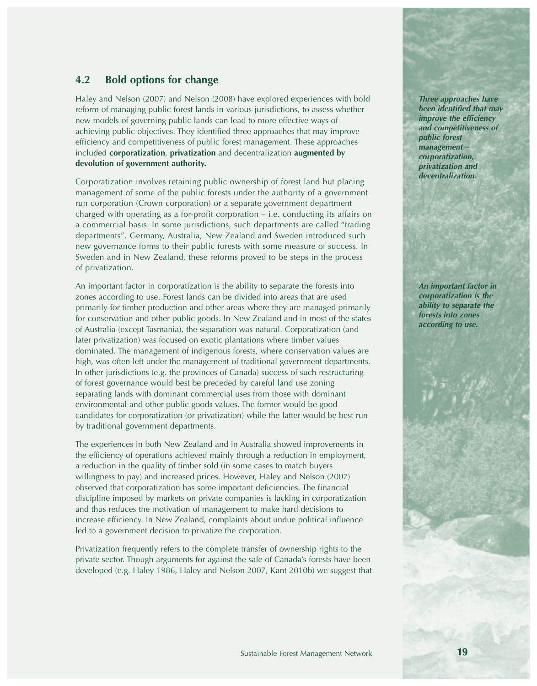#### *4.2 Bold options for change*

*Haley and Nelson (2007) and Nelson (2008) have explored experiences with bold reform of managing public forest lands in various jurisdictions, to assess whether new models of governing public lands can lead to more effective ways of achieving public objectives. They identified three approaches that may improve efficiency and competitiveness of public forest management. These approaches included corporatization, privatization and decentralization augmented by devolution of government authority.* 

*Corporatization involves retaining public ownership of forest land but placing management of some of the public forests under the authority of a government run corporation (Crown corporation) or a separate government department charged with operating as a for-profit corporation – i.e. conducting its affairs on a commercial basis. In some jurisdictions, such departments are called "trading departments". Germany, Australia, New Zealand and Sweden introduced such new governance forms to their public forests with some measure of success. In Sweden and in New Zealand, these reforms proved to be steps in the process of privatization.*

*An important factor in corporatization is the ability to separate the forests into zones according to use. Forest lands can be divided into areas that are used primarily for timber production and other areas where they are managed primarily for conservation and other public goods. In New Zealand and in most of the states of Australia (except Tasmania), the separation was natural. Corporatization (and later privatization) was focused on exotic plantations where timber values dominated. The management of indigenous forests, where conservation values are high, was often left under the management of traditional government departments. In other jurisdictions (e.g. the provinces of Canada) success of such restructuring of forest governance would best be preceded by careful land use zoning separating lands with dominant commercial uses from those with dominant environmental and other public goods values. The former would be good candidates for corporatization (or privatization) while the latter would be best run by traditional government departments.* 

*The experiences in both New Zealand and in Australia showed improvements in the efficiency of operations achieved mainly through a reduction in employment, a reduction in the quality of timber sold (in some cases to match buyers willingness to pay) and increased prices. However, Haley and Nelson (2007) observed that corporatization has some important deficiencies. The financial discipline imposed by markets on private companies is lacking in corporatization and thus reduces the motivation of management to make hard decisions to increase efficiency. In New Zealand, complaints about undue political influence led to a government decision to privatize the corporation.*

*Privatization frequently refers to the complete transfer of ownership rights to the private sector. Though arguments for against the sale of Canada's forests have been developed (e.g. Haley 1986, Haley and Nelson 2007, Kant 2010b) we suggest that*

*Three approaches have been identified that may improve the efficiency and competitiveness of public forest management – corporatization, privatization and decentralization.*

*An important factor in corporatization is the ability to separate the forests into zones according to use.*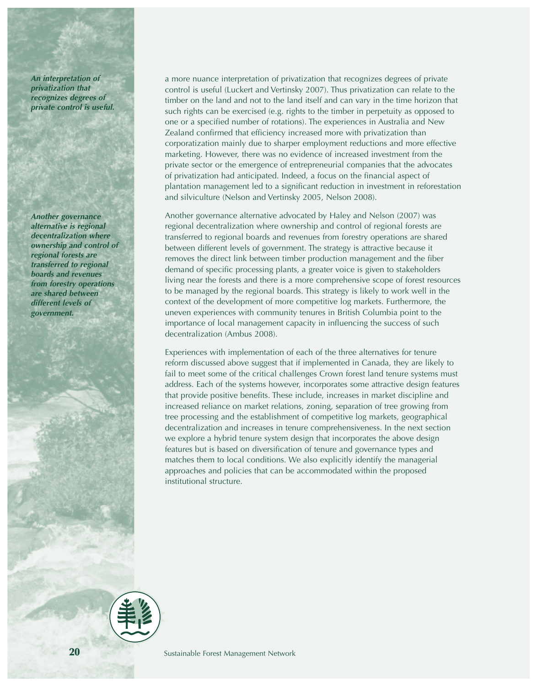*An interpretation of privatization that recognizes degrees of private control is useful.*

*Another governance alternative is regional decentralization where ownership and control of regional forests are transferred to regional boards and revenues from forestry operations are shared between different levels of government.*

*a more nuance interpretation of privatization that recognizes degrees of private control is useful (Luckert and Vertinsky 2007). Thus privatization can relate to the timber on the land and not to the land itself and can vary in the time horizon that such rights can be exercised (e.g. rights to the timber in perpetuity as opposed to one or a specified number of rotations). The experiences in Australia and New Zealand confirmed that efficiency increased more with privatization than corporatization mainly due to sharper employment reductions and more effective marketing. However, there was no evidence of increased investment from the private sector or the emergence of entrepreneurial companies that the advocates of privatization had anticipated. Indeed, a focus on the financial aspect of plantation management led to a significant reduction in investment in reforestation and silviculture (Nelson and Vertinsky 2005, Nelson 2008).*

*Another governance alternative advocated by Haley and Nelson (2007) was regional decentralization where ownership and control of regional forests are transferred to regional boards and revenues from forestry operations are shared between different levels of government. The strategy is attractive because it removes the direct link between timber production management and the fiber demand of specific processing plants, a greater voice is given to stakeholders living near the forests and there is a more comprehensive scope of forest resources to be managed by the regional boards. This strategy is likely to work well in the context of the development of more competitive log markets. Furthermore, the uneven experiences with community tenures in British Columbia point to the importance of local management capacity in influencing the success of such decentralization (Ambus 2008).* 

*Experiences with implementation of each of the three alternatives for tenure reform discussed above suggest that if implemented in Canada, they are likely to fail to meet some of the critical challenges Crown forest land tenure systems must address. Each of the systems however, incorporates some attractive design features that provide positive benefits. These include, increases in market discipline and increased reliance on market relations, zoning, separation of tree growing from tree processing and the establishment of competitive log markets, geographical decentralization and increases in tenure comprehensiveness. In the next section we explore a hybrid tenure system design that incorporates the above design features but is based on diversification of tenure and governance types and matches them to local conditions. We also explicitly identify the managerial approaches and policies that can be accommodated within the proposed institutional structure.*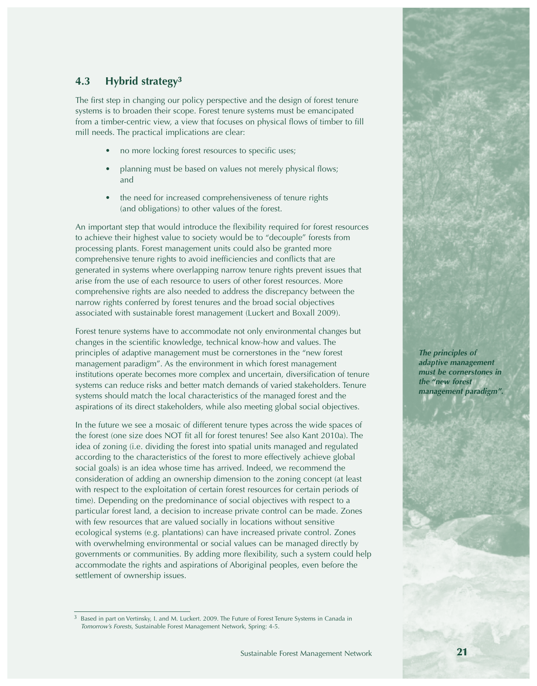#### *4.3 Hybrid strategy***<sup>3</sup>**

*The first step in changing our policy perspective and the design of forest tenure systems is to broaden their scope. Forest tenure systems must be emancipated from a timber-centric view, a view that focuses on physical flows of timber to fill mill needs. The practical implications are clear:*

- *no more locking forest resources to specific uses;*
- *planning must be based on values not merely physical flows; and*
- *the need for increased comprehensiveness of tenure rights (and obligations) to other values of the forest.*

*An important step that would introduce the flexibility required for forest resources to achieve their highest value to society would be to "decouple" forests from processing plants. Forest management units could also be granted more comprehensive tenure rights to avoid inefficiencies and conflicts that are generated in systems where overlapping narrow tenure rights prevent issues that arise from the use of each resource to users of other forest resources. More comprehensive rights are also needed to address the discrepancy between the narrow rights conferred by forest tenures and the broad social objectives associated with sustainable forest management (Luckert and Boxall 2009).*

*Forest tenure systems have to accommodate not only environmental changes but changes in the scientific knowledge, technical know-how and values. The principles of adaptive management must be cornerstones in the "new forest management paradigm". As the environment in which forest management institutions operate becomes more complex and uncertain, diversification of tenure systems can reduce risks and better match demands of varied stakeholders. Tenure systems should match the local characteristics of the managed forest and the aspirations of its direct stakeholders, while also meeting global social objectives.*

*In the future we see a mosaic of different tenure types across the wide spaces of the forest (one size does NOT fit all for forest tenures! See also Kant 2010a). The idea of zoning (i.e. dividing the forest into spatial units managed and regulated according to the characteristics of the forest to more effectively achieve global social goals) is an idea whose time has arrived. Indeed, we recommend the consideration of adding an ownership dimension to the zoning concept (at least with respect to the exploitation of certain forest resources for certain periods of time). Depending on the predominance of social objectives with respect to a particular forest land, a decision to increase private control can be made. Zones with few resources that are valued socially in locations without sensitive ecological systems (e.g. plantations) can have increased private control. Zones with overwhelming environmental or social values can be managed directly by governments or communities. By adding more flexibility, such a system could help accommodate the rights and aspirations of Aboriginal peoples, even before the settlement of ownership issues.* 



*<sup>3</sup> Based in part on Vertinsky, I. and M. Luckert. 2009. The Future of Forest Tenure Systems in Canada in Tomorrow's Forests, Sustainable Forest Management Network, Spring: 4-5.*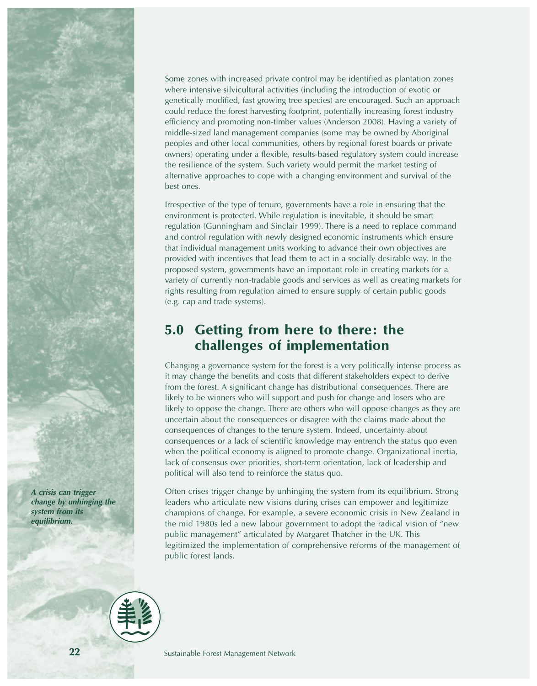*A crisis can trigger change by unhinging the system from its equilibrium.*

*Some zones with increased private control may be identified as plantation zones where intensive silvicultural activities (including the introduction of exotic or genetically modified, fast growing tree species) are encouraged. Such an approach could reduce the forest harvesting footprint, potentially increasing forest industry efficiency and promoting non-timber values (Anderson 2008). Having a variety of middle-sized land management companies (some may be owned by Aboriginal peoples and other local communities, others by regional forest boards or private owners) operating under a flexible, results-based regulatory system could increase the resilience of the system. Such variety would permit the market testing of alternative approaches to cope with a changing environment and survival of the best ones.*

*Irrespective of the type of tenure, governments have a role in ensuring that the environment is protected. While regulation is inevitable, it should be smart regulation (Gunningham and Sinclair 1999). There is a need to replace command and control regulation with newly designed economic instruments which ensure that individual management units working to advance their own objectives are provided with incentives that lead them to act in a socially desirable way. In the proposed system, governments have an important role in creating markets for a variety of currently non-tradable goods and services as well as creating markets for rights resulting from regulation aimed to ensure supply of certain public goods (e.g. cap and trade systems).*

# **5.0 Getting from here to there: the challenges of implementation**

*Changing a governance system for the forest is a very politically intense process as it may change the benefits and costs that different stakeholders expect to derive from the forest. A significant change has distributional consequences. There are likely to be winners who will support and push for change and losers who are likely to oppose the change. There are others who will oppose changes as they are uncertain about the consequences or disagree with the claims made about the consequences of changes to the tenure system. Indeed, uncertainty about consequences or a lack of scientific knowledge may entrench the status quo even when the political economy is aligned to promote change. Organizational inertia, lack of consensus over priorities, short-term orientation, lack of leadership and political will also tend to reinforce the status quo.*

*Often crises trigger change by unhinging the system from its equilibrium. Strong leaders who articulate new visions during crises can empower and legitimize champions of change. For example, a severe economic crisis in New Zealand in the mid 1980s led a new labour government to adopt the radical vision of "new public management" articulated by Margaret Thatcher in the UK. This legitimized the implementation of comprehensive reforms of the management of public forest lands.*



*Sustainable Forest Management Network*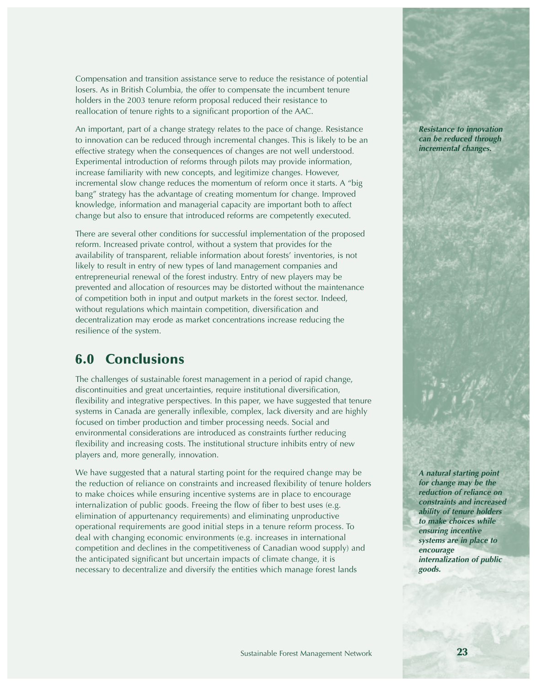*Compensation and transition assistance serve to reduce the resistance of potential losers. As in British Columbia, the offer to compensate the incumbent tenure holders in the 2003 tenure reform proposal reduced their resistance to reallocation of tenure rights to a significant proportion of the AAC.* 

*An important, part of a change strategy relates to the pace of change. Resistance to innovation can be reduced through incremental changes. This is likely to be an effective strategy when the consequences of changes are not well understood. Experimental introduction of reforms through pilots may provide information, increase familiarity with new concepts, and legitimize changes. However, incremental slow change reduces the momentum of reform once it starts. A "big bang" strategy has the advantage of creating momentum for change. Improved knowledge, information and managerial capacity are important both to affect change but also to ensure that introduced reforms are competently executed.* 

*There are several other conditions for successful implementation of the proposed reform. Increased private control, without a system that provides for the availability of transparent, reliable information about forests' inventories, is not likely to result in entry of new types of land management companies and entrepreneurial renewal of the forest industry. Entry of new players may be prevented and allocation of resources may be distorted without the maintenance of competition both in input and output markets in the forest sector. Indeed, without regulations which maintain competition, diversification and decentralization may erode as market concentrations increase reducing the resilience of the system.*

## **6.0 Conclusions**

*The challenges of sustainable forest management in a period of rapid change, discontinuities and great uncertainties, require institutional diversification, flexibility and integrative perspectives. In this paper, we have suggested that tenure systems in Canada are generally inflexible, complex, lack diversity and are highly focused on timber production and timber processing needs. Social and environmental considerations are introduced as constraints further reducing flexibility and increasing costs. The institutional structure inhibits entry of new players and, more generally, innovation.* 

*We have suggested that a natural starting point for the required change may be the reduction of reliance on constraints and increased flexibility of tenure holders to make choices while ensuring incentive systems are in place to encourage internalization of public goods. Freeing the flow of fiber to best uses (e.g. elimination of appurtenancy requirements) and eliminating unproductive operational requirements are good initial steps in a tenure reform process. To deal with changing economic environments (e.g. increases in international competition and declines in the competitiveness of Canadian wood supply) and the anticipated significant but uncertain impacts of climate change, it is necessary to decentralize and diversify the entities which manage forest lands*

*Resistance to innovation can be reduced through incremental changes.*

*A natural starting point for change may be the reduction of reliance on constraints and increased ability of tenure holders to make choices while ensuring incentive systems are in place to encourage internalization of public goods.*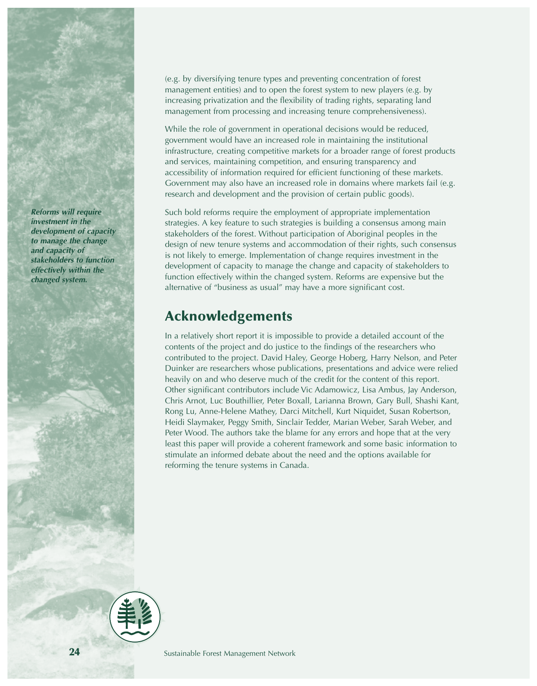*Reforms will require investment in the development of capacity to manage the change and capacity of stakeholders to function effectively within the changed system.* 

*(e.g. by diversifying tenure types and preventing concentration of forest management entities) and to open the forest system to new players (e.g. by increasing privatization and the flexibility of trading rights, separating land management from processing and increasing tenure comprehensiveness).*

*While the role of government in operational decisions would be reduced, government would have an increased role in maintaining the institutional infrastructure, creating competitive markets for a broader range of forest products and services, maintaining competition, and ensuring transparency and accessibility of information required for efficient functioning of these markets. Government may also have an increased role in domains where markets fail (e.g. research and development and the provision of certain public goods).* 

*Such bold reforms require the employment of appropriate implementation strategies. A key feature to such strategies is building a consensus among main stakeholders of the forest. Without participation of Aboriginal peoples in the design of new tenure systems and accommodation of their rights, such consensus is not likely to emerge. Implementation of change requires investment in the development of capacity to manage the change and capacity of stakeholders to function effectively within the changed system. Reforms are expensive but the alternative of "business as usual" may have a more significant cost.*

# **Acknowledgements**

*In a relatively short report it is impossible to provide a detailed account of the contents of the project and do justice to the findings of the researchers who contributed to the project. David Haley, George Hoberg, Harry Nelson, and Peter Duinker are researchers whose publications, presentations and advice were relied heavily on and who deserve much of the credit for the content of this report. Other significant contributors include Vic Adamowicz, Lisa Ambus, Jay Anderson, Chris Arnot, Luc Bouthillier, Peter Boxall, Larianna Brown, Gary Bull, Shashi Kant, Rong Lu, Anne-Helene Mathey, Darci Mitchell, Kurt Niquidet, Susan Robertson, Heidi Slaymaker, Peggy Smith, Sinclair Tedder, Marian Weber, Sarah Weber, and Peter Wood. The authors take the blame for any errors and hope that at the very least this paper will provide a coherent framework and some basic information to stimulate an informed debate about the need and the options available for reforming the tenure systems in Canada.*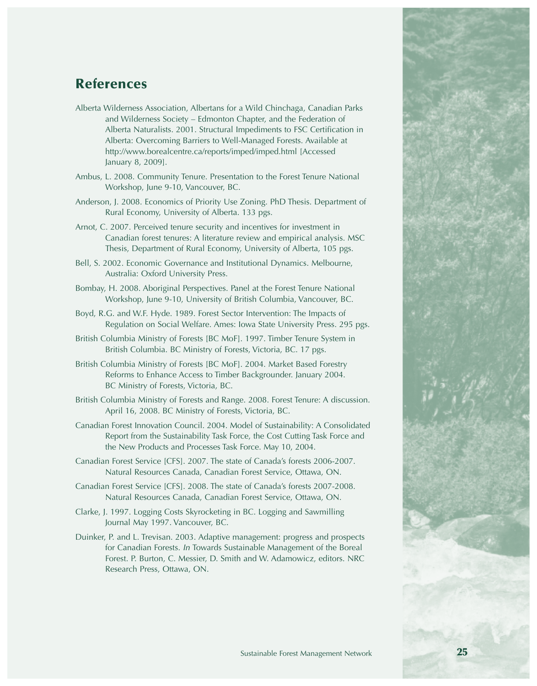# **References**

- *Alberta Wilderness Association, Albertans for a Wild Chinchaga, Canadian Parks and Wilderness Society – Edmonton Chapter, and the Federation of Alberta Naturalists. 2001. Structural Impediments to FSC Certification in Alberta: Overcoming Barriers to Well-Managed Forests. Available at http://www.borealcentre.ca/reports/imped/imped.html [Accessed January 8, 2009].*
- *Ambus, L. 2008. Community Tenure. Presentation to the Forest Tenure National Workshop, June 9-10, Vancouver, BC.*
- *Anderson, J. 2008. Economics of Priority Use Zoning. PhD Thesis. Department of Rural Economy, University of Alberta. 133 pgs.*
- *Arnot, C. 2007. Perceived tenure security and incentives for investment in Canadian forest tenures: A literature review and empirical analysis. MSC Thesis, Department of Rural Economy, University of Alberta, 105 pgs.*
- *Bell, S. 2002. Economic Governance and Institutional Dynamics. Melbourne, Australia: Oxford University Press.*
- *Bombay, H. 2008. Aboriginal Perspectives. Panel at the Forest Tenure National Workshop, June 9-10, University of British Columbia, Vancouver, BC.*
- *Boyd, R.G. and W.F. Hyde. 1989. Forest Sector Intervention: The Impacts of Regulation on Social Welfare. Ames: Iowa State University Press. 295 pgs.*
- *British Columbia Ministry of Forests [BC MoF]. 1997. Timber Tenure System in British Columbia. BC Ministry of Forests, Victoria, BC. 17 pgs.*
- *British Columbia Ministry of Forests [BC MoF]. 2004. Market Based Forestry Reforms to Enhance Access to Timber Backgrounder. January 2004. BC Ministry of Forests, Victoria, BC.*
- *British Columbia Ministry of Forests and Range. 2008. Forest Tenure: A discussion. April 16, 2008. BC Ministry of Forests, Victoria, BC.*
- *Canadian Forest Innovation Council. 2004. Model of Sustainability: A Consolidated Report from the Sustainability Task Force, the Cost Cutting Task Force and the New Products and Processes Task Force. May 10, 2004.*
- *Canadian Forest Service [CFS]. 2007. The state of Canada's forests 2006-2007. Natural Resources Canada, Canadian Forest Service, Ottawa, ON.*
- *Canadian Forest Service [CFS]. 2008. The state of Canada's forests 2007-2008. Natural Resources Canada, Canadian Forest Service, Ottawa, ON.*
- *Clarke, J. 1997. Logging Costs Skyrocketing in BC. Logging and Sawmilling Journal May 1997. Vancouver, BC.*
- *Duinker, P. and L. Trevisan. 2003. Adaptive management: progress and prospects for Canadian Forests. In Towards Sustainable Management of the Boreal Forest. P. Burton, C. Messier, D. Smith and W. Adamowicz, editors. NRC Research Press, Ottawa, ON.*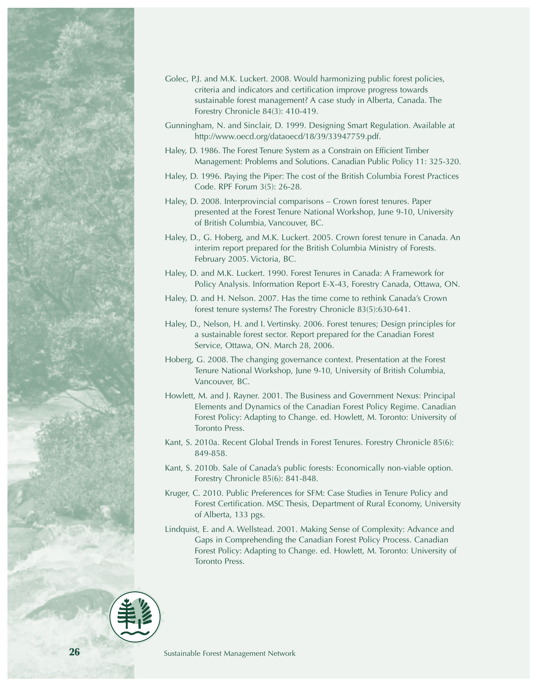

- *Golec, P.J. and M.K. Luckert. 2008. Would harmonizing public forest policies, criteria and indicators and certification improve progress towards sustainable forest management? A case study in Alberta, Canada. The Forestry Chronicle 84(3): 410-419.*
- *Gunningham, N. and Sinclair, D. 1999. Designing Smart Regulation. Available at http://www.oecd.org/dataoecd/18/39/33947759.pdf.*
- *Haley, D. 1986. The Forest Tenure System as a Constrain on Efficient Timber Management: Problems and Solutions. Canadian Public Policy 11: 325-320.*
- *Haley, D. 1996. Paying the Piper: The cost of the British Columbia Forest Practices Code. RPF Forum 3(5): 26-28.*
- *Haley, D. 2008. Interprovincial comparisons Crown forest tenures. Paper presented at the Forest Tenure National Workshop, June 9-10, University of British Columbia, Vancouver, BC.*
- *Haley, D., G. Hoberg, and M.K. Luckert. 2005. Crown forest tenure in Canada. An interim report prepared for the British Columbia Ministry of Forests. February 2005. Victoria, BC.*
- *Haley, D. and M.K. Luckert. 1990. Forest Tenures in Canada: A Framework for Policy Analysis. Information Report E-X-43, Forestry Canada, Ottawa, ON.*
- *Haley, D. and H. Nelson. 2007. Has the time come to rethink Canada's Crown forest tenure systems? The Forestry Chronicle 83(5):630-641.*
- *Haley, D., Nelson, H. and I. Vertinsky. 2006. Forest tenures; Design principles for a sustainable forest sector. Report prepared for the Canadian Forest Service, Ottawa, ON. March 28, 2006.*
- *Hoberg, G. 2008. The changing governance context. Presentation at the Forest Tenure National Workshop, June 9-10, University of British Columbia, Vancouver, BC.*
- *Howlett, M. and J. Rayner. 2001. The Business and Government Nexus: Principal Elements and Dynamics of the Canadian Forest Policy Regime. Canadian Forest Policy: Adapting to Change. ed. Howlett, M. Toronto: University of Toronto Press.*
- *Kant, S. 2010a. Recent Global Trends in Forest Tenures. Forestry Chronicle 85(6): 849-858.*
- *Kant, S. 2010b. Sale of Canada's public forests: Economically non-viable option. Forestry Chronicle 85(6): 841-848.*
- *Kruger, C. 2010. Public Preferences for SFM: Case Studies in Tenure Policy and Forest Certification. MSC Thesis, Department of Rural Economy, University of Alberta, 133 pgs.*
- *Lindquist, E. and A. Wellstead. 2001. Making Sense of Complexity: Advance and Gaps in Comprehending the Canadian Forest Policy Process. Canadian Forest Policy: Adapting to Change. ed. Howlett, M. Toronto: University of Toronto Press.*

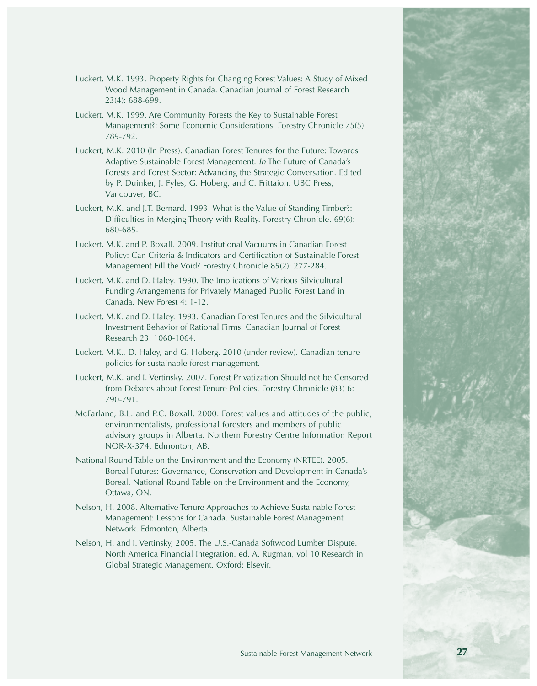- *Luckert, M.K. 1993. Property Rights for Changing Forest Values: A Study of Mixed Wood Management in Canada. Canadian Journal of Forest Research 23(4): 688-699.*
- *Luckert. M.K. 1999. Are Community Forests the Key to Sustainable Forest Management?: Some Economic Considerations. Forestry Chronicle 75(5): 789-792.*
- *Luckert, M.K. 2010 (In Press). Canadian Forest Tenures for the Future: Towards Adaptive Sustainable Forest Management. In The Future of Canada's Forests and Forest Sector: Advancing the Strategic Conversation. Edited by P. Duinker, J. Fyles, G. Hoberg, and C. Frittaion. UBC Press, Vancouver, BC.*
- *Luckert, M.K. and J.T. Bernard. 1993. What is the Value of Standing Timber?: Difficulties in Merging Theory with Reality. Forestry Chronicle. 69(6): 680-685.*
- *Luckert, M.K. and P. Boxall. 2009. Institutional Vacuums in Canadian Forest Policy: Can Criteria & Indicators and Certification of Sustainable Forest Management Fill the Void? Forestry Chronicle 85(2): 277-284.*
- *Luckert, M.K. and D. Haley. 1990. The Implications of Various Silvicultural Funding Arrangements for Privately Managed Public Forest Land in Canada. New Forest 4: 1-12.*
- *Luckert, M.K. and D. Haley. 1993. Canadian Forest Tenures and the Silvicultural Investment Behavior of Rational Firms. Canadian Journal of Forest Research 23: 1060-1064.*
- *Luckert, M.K., D. Haley, and G. Hoberg. 2010 (under review). Canadian tenure policies for sustainable forest management.*
- *Luckert, M.K. and I. Vertinsky. 2007. Forest Privatization Should not be Censored from Debates about Forest Tenure Policies. Forestry Chronicle (83) 6: 790-791.*
- *McFarlane, B.L. and P.C. Boxall. 2000. Forest values and attitudes of the public, environmentalists, professional foresters and members of public advisory groups in Alberta. Northern Forestry Centre Information Report NOR-X-374. Edmonton, AB.*
- *National Round Table on the Environment and the Economy (NRTEE). 2005. Boreal Futures: Governance, Conservation and Development in Canada's Boreal. National Round Table on the Environment and the Economy, Ottawa, ON.*
- *Nelson, H. 2008. Alternative Tenure Approaches to Achieve Sustainable Forest Management: Lessons for Canada. Sustainable Forest Management Network. Edmonton, Alberta.*
- *Nelson, H. and I. Vertinsky, 2005. The U.S.-Canada Softwood Lumber Dispute. North America Financial Integration. ed. A. Rugman, vol 10 Research in Global Strategic Management. Oxford: Elsevir.*

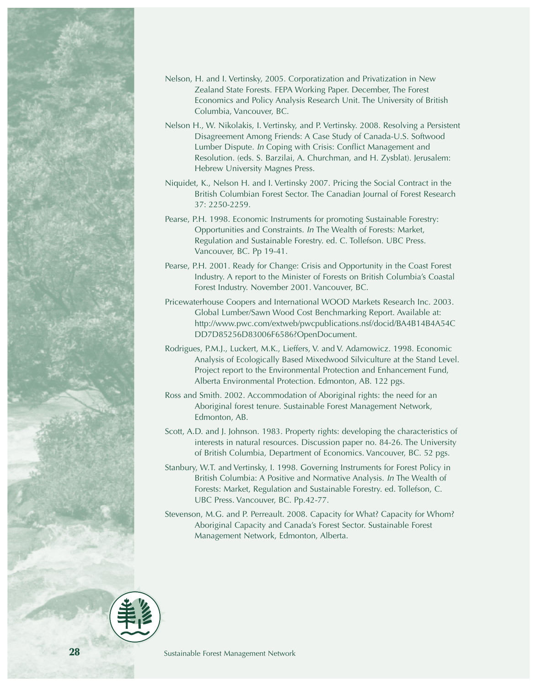

- *Nelson, H. and I. Vertinsky, 2005. Corporatization and Privatization in New Zealand State Forests. FEPA Working Paper. December, The Forest Economics and Policy Analysis Research Unit. The University of British Columbia, Vancouver, BC.*
- *Nelson H., W. Nikolakis, I. Vertinsky, and P. Vertinsky. 2008. Resolving a Persistent Disagreement Among Friends: A Case Study of Canada-U.S. Softwood Lumber Dispute. In Coping with Crisis: Conflict Management and Resolution. (eds. S. Barzilai, A. Churchman, and H. Zysblat). Jerusalem: Hebrew University Magnes Press.*
- *Niquidet, K., Nelson H. and I. Vertinsky 2007. Pricing the Social Contract in the British Columbian Forest Sector. The Canadian Journal of Forest Research 37: 2250-2259.*
- *Pearse, P.H. 1998. Economic Instruments for promoting Sustainable Forestry: Opportunities and Constraints. In The Wealth of Forests: Market, Regulation and Sustainable Forestry. ed. C. Tollefson. UBC Press. Vancouver, BC. Pp 19-41.*
- *Pearse, P.H. 2001. Ready for Change: Crisis and Opportunity in the Coast Forest Industry. A report to the Minister of Forests on British Columbia's Coastal Forest Industry. November 2001. Vancouver, BC.*
- *Pricewaterhouse Coopers and International WOOD Markets Research Inc. 2003. Global Lumber/Sawn Wood Cost Benchmarking Report. Available at: http://www.pwc.com/extweb/pwcpublications.nsf/docid/BA4B14B4A54C DD7D85256D83006F6586?OpenDocument.*
- *Rodrigues, P.M.J., Luckert, M.K., Lieffers, V. and V. Adamowicz. 1998. Economic Analysis of Ecologically Based Mixedwood Silviculture at the Stand Level. Project report to the Environmental Protection and Enhancement Fund, Alberta Environmental Protection. Edmonton, AB. 122 pgs.*
- *Ross and Smith. 2002. Accommodation of Aboriginal rights: the need for an Aboriginal forest tenure. Sustainable Forest Management Network, Edmonton, AB.*
- *Scott, A.D. and J. Johnson. 1983. Property rights: developing the characteristics of interests in natural resources. Discussion paper no. 84-26. The University of British Columbia, Department of Economics. Vancouver, BC. 52 pgs.*
- *Stanbury, W.T. and Vertinsky, I. 1998. Governing Instruments for Forest Policy in British Columbia: A Positive and Normative Analysis. In The Wealth of Forests: Market, Regulation and Sustainable Forestry. ed. Tollefson, C. UBC Press. Vancouver, BC. Pp.42-77.*
- *Stevenson, M.G. and P. Perreault. 2008. Capacity for What? Capacity for Whom? Aboriginal Capacity and Canada's Forest Sector. Sustainable Forest Management Network, Edmonton, Alberta.*

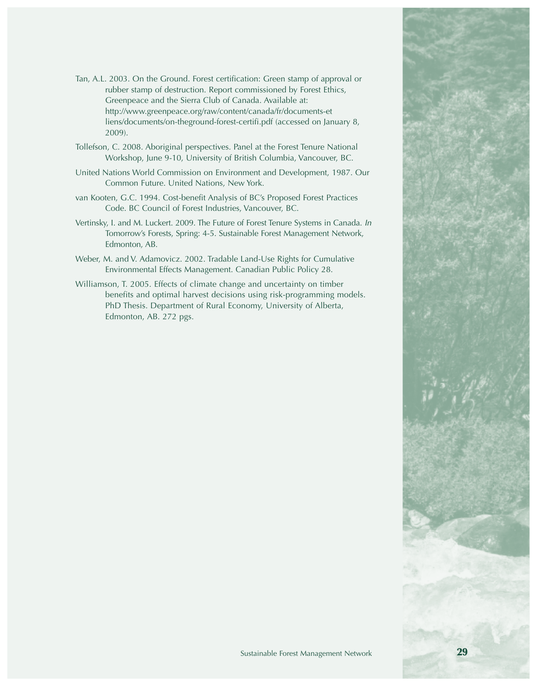- *Tan, A.L. 2003. On the Ground. Forest certification: Green stamp of approval or rubber stamp of destruction. Report commissioned by Forest Ethics, Greenpeace and the Sierra Club of Canada. Available at: http://www.greenpeace.org/raw/content/canada/fr/documents-et liens/documents/on-theground-forest-certifi.pdf (accessed on January 8, 2009).*
- *Tollefson, C. 2008. Aboriginal perspectives. Panel at the Forest Tenure National Workshop, June 9-10, University of British Columbia, Vancouver, BC.*
- *United Nations World Commission on Environment and Development, 1987. Our Common Future. United Nations, New York.*
- *van Kooten, G.C. 1994. Cost-benefit Analysis of BC's Proposed Forest Practices Code. BC Council of Forest Industries, Vancouver, BC.*
- *Vertinsky, I. and M. Luckert. 2009. The Future of Forest Tenure Systems in Canada. In Tomorrow's Forests, Spring: 4-5. Sustainable Forest Management Network, Edmonton, AB.*
- *Weber, M. and V. Adamovicz. 2002. Tradable Land-Use Rights for Cumulative Environmental Effects Management. Canadian Public Policy 28.*
- *Williamson, T. 2005. Effects of climate change and uncertainty on timber benefits and optimal harvest decisions using risk-programming models. PhD Thesis. Department of Rural Economy, University of Alberta, Edmonton, AB. 272 pgs.*